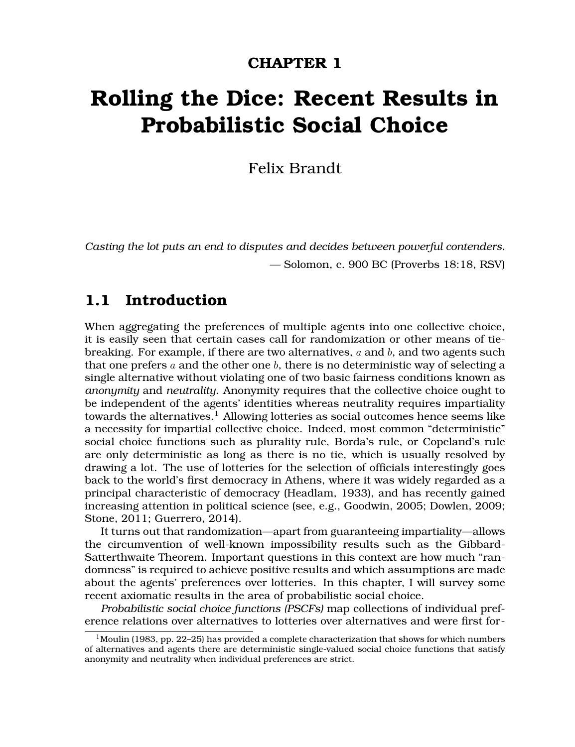## **CHAPTER 1**

# **Rolling the Dice: Recent Results in Probabilistic Social Choice**

Felix Brandt

*Casting the lot puts an end to disputes and decides between powerful contenders.* — Solomon, c. 900 BC (Proverbs 18:18, RSV)

## **1.1 Introduction**

When aggregating the preferences of multiple agents into one collective choice, it is easily seen that certain cases call for randomization or other means of tiebreaking. For example, if there are two alternatives,  $a$  and  $b$ , and two agents such that one prefers  $a$  and the other one  $b$ , there is no deterministic way of selecting a single alternative without violating one of two basic fairness conditions known as *anonymity* and *neutrality*. Anonymity requires that the collective choice ought to be independent of the agents' identities whereas neutrality requires impartiality towards the alternatives.<sup>[1](#page-0-0)</sup> Allowing lotteries as social outcomes hence seems like a necessity for impartial collective choice. Indeed, most common "deterministic" social choice functions such as plurality rule, Borda's rule, or Copeland's rule are only deterministic as long as there is no tie, which is usually resolved by drawing a lot. The use of lotteries for the selection of officials interestingly goes back to the world's first democracy in Athens, where it was widely regarded as a principal characteristic of democracy [\(Headlam, 1933\)](#page-21-0), and has recently gained increasing attention in political science (see, e.g., [Goodwin, 2005;](#page-21-1) [Dowlen, 2009;](#page-19-0) [Stone, 2011;](#page-23-0) [Guerrero, 2014\)](#page-21-2).

It turns out that randomization—apart from guaranteeing impartiality—allows the circumvention of well-known impossibility results such as the Gibbard-Satterthwaite Theorem. Important questions in this context are how much "randomness" is required to achieve positive results and which assumptions are made about the agents' preferences over lotteries. In this chapter, I will survey some recent axiomatic results in the area of probabilistic social choice.

*Probabilistic social choice functions (PSCFs)* map collections of individual preference relations over alternatives to lotteries over alternatives and were first for-

<span id="page-0-0"></span> $1$ [Moulin](#page-22-0) [\(1983,](#page-22-0) pp. 22–25) has provided a complete characterization that shows for which numbers of alternatives and agents there are deterministic single-valued social choice functions that satisfy anonymity and neutrality when individual preferences are strict.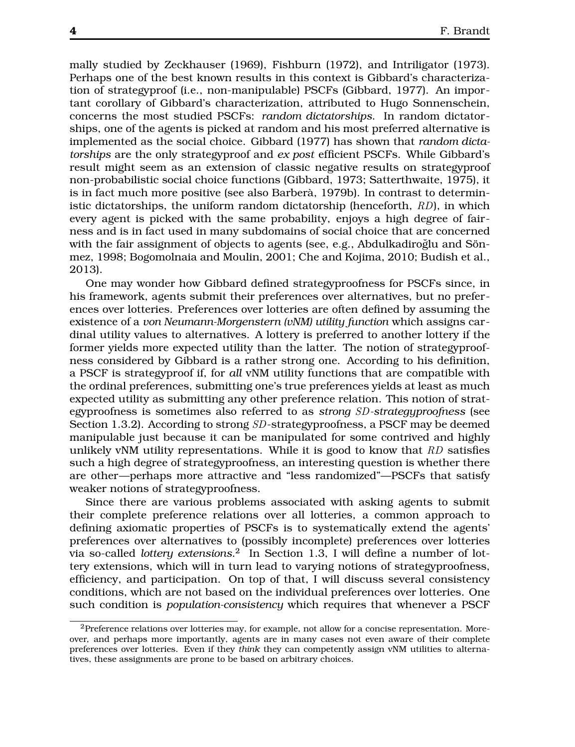mally studied by [Zeckhauser](#page-23-1) [\(1969\)](#page-23-1), [Fishburn](#page-20-0) [\(1972\)](#page-20-0), and [Intriligator](#page-21-3) [\(1973\)](#page-21-3). Perhaps one of the best known results in this context is [Gibbard'](#page-20-1)s characterization of strategyproof (i.e., non-manipulable) PSCFs [\(Gibbard, 1977\)](#page-20-1). An important corollary of Gibbard's characterization, attributed to Hugo Sonnenschein, concerns the most studied PSCFs: *random dictatorships*. In random dictatorships, one of the agents is picked at random and his most preferred alternative is implemented as the social choice. [Gibbard](#page-20-1) [\(1977\)](#page-20-1) has shown that *random dictatorships* are the only strategyproof and *ex post* efficient PSCFs. While Gibbard's result might seem as an extension of classic negative results on strategyproof non-probabilistic social choice functions [\(Gibbard, 1973;](#page-20-2) [Satterthwaite, 1975\)](#page-22-1), it is in fact much more positive (see also [Barberà, 1979b\)](#page-17-0). In contrast to deterministic dictatorships, the uniform random dictatorship (henceforth,  $RD$ ), in which every agent is picked with the same probability, enjoys a high degree of fairness and is in fact used in many subdomains of social choice that are concerned with the fair assignment of objects to agents (see, e.g., [Abdulkadiroglu and Sön](#page-16-0) [mez, 1998;](#page-16-0) [Bogomolnaia and Moulin, 2001;](#page-18-0) [Che and Kojima, 2010;](#page-19-1) [Budish et al.,](#page-19-2) [2013\)](#page-19-2).

One may wonder how Gibbard defined strategyproofness for PSCFs since, in his framework, agents submit their preferences over alternatives, but no preferences over lotteries. Preferences over lotteries are often defined by assuming the existence of a *von Neumann-Morgenstern (vNM) utility function* which assigns cardinal utility values to alternatives. A lottery is preferred to another lottery if the former yields more expected utility than the latter. The notion of strategyproofness considered by Gibbard is a rather strong one. According to his definition, a PSCF is strategyproof if, for *all* vNM utility functions that are compatible with the ordinal preferences, submitting one's true preferences yields at least as much expected utility as submitting any other preference relation. This notion of strategyproofness is sometimes also referred to as *strong* SD*-strategyproofness* (see Section [1.3.2\)](#page-8-0). According to strong SD-strategyproofness, a PSCF may be deemed manipulable just because it can be manipulated for some contrived and highly unlikely vNM utility representations. While it is good to know that  $RD$  satisfies such a high degree of strategyproofness, an interesting question is whether there are other—perhaps more attractive and "less randomized"—PSCFs that satisfy weaker notions of strategyproofness.

Since there are various problems associated with asking agents to submit their complete preference relations over all lotteries, a common approach to defining axiomatic properties of PSCFs is to systematically extend the agents' preferences over alternatives to (possibly incomplete) preferences over lotteries via so-called *lottery extensions*. [2](#page-1-0) In Section [1.3,](#page-6-0) I will define a number of lottery extensions, which will in turn lead to varying notions of strategyproofness, efficiency, and participation. On top of that, I will discuss several consistency conditions, which are not based on the individual preferences over lotteries. One such condition is *population-consistency* which requires that whenever a PSCF

<span id="page-1-0"></span><sup>2</sup>Preference relations over lotteries may, for example, not allow for a concise representation. Moreover, and perhaps more importantly, agents are in many cases not even aware of their complete preferences over lotteries. Even if they *think* they can competently assign vNM utilities to alternatives, these assignments are prone to be based on arbitrary choices.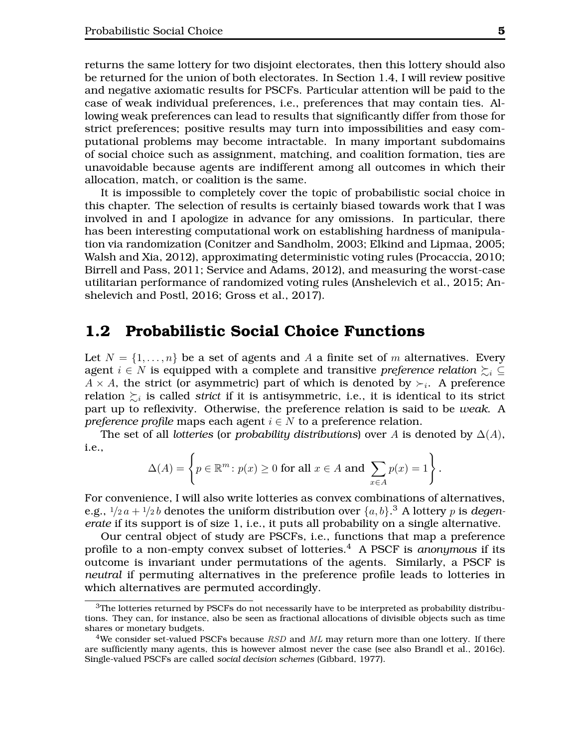returns the same lottery for two disjoint electorates, then this lottery should also be returned for the union of both electorates. In Section [1.4,](#page-11-0) I will review positive and negative axiomatic results for PSCFs. Particular attention will be paid to the case of weak individual preferences, i.e., preferences that may contain ties. Allowing weak preferences can lead to results that significantly differ from those for strict preferences; positive results may turn into impossibilities and easy computational problems may become intractable. In many important subdomains of social choice such as assignment, matching, and coalition formation, ties are unavoidable because agents are indifferent among all outcomes in which their allocation, match, or coalition is the same.

It is impossible to completely cover the topic of probabilistic social choice in this chapter. The selection of results is certainly biased towards work that I was involved in and I apologize in advance for any omissions. In particular, there has been interesting computational work on establishing hardness of manipulation via randomization [\(Conitzer and Sandholm, 2003;](#page-19-3) [Elkind and Lipmaa, 2005;](#page-20-3) [Walsh and Xia, 2012\)](#page-23-2), approximating deterministic voting rules [\(Procaccia, 2010;](#page-22-2) [Birrell and Pass, 2011;](#page-18-1) [Service and Adams, 2012\)](#page-23-3), and measuring the worst-case utilitarian performance of randomized voting rules [\(Anshelevich et al., 2015;](#page-16-1) [An](#page-16-2)[shelevich and Postl, 2016;](#page-16-2) [Gross et al., 2017\)](#page-21-4).

### **1.2 Probabilistic Social Choice Functions**

Let  $N = \{1, \ldots, n\}$  be a set of agents and A a finite set of m alternatives. Every agent  $i \in N$  is equipped with a complete and transitive *preference relation*  $\succcurlyeq_i \subseteq$  $A \times A$ , the strict (or asymmetric) part of which is denoted by  $\succ_i$ . A preference relation  $\succsim_i$  is called *strict* if it is antisymmetric, i.e., it is identical to its strict part up to reflexivity. Otherwise, the preference relation is said to be *weak*. A *preference profile* maps each agent  $i \in N$  to a preference relation.

The set of all *lotteries* (or *probability distributions*) over A is denoted by  $\Delta(A)$ , i.e.,

$$
\Delta(A) = \left\{ p \in \mathbb{R}^m \colon p(x) \ge 0 \text{ for all } x \in A \text{ and } \sum_{x \in A} p(x) = 1 \right\}.
$$

For convenience, I will also write lotteries as convex combinations of alternatives, e.g.,  $1/2\,a + 1/2\,b$  denotes the uniform distribution over  $\{a, b\}$ .<sup>[3](#page-2-0)</sup> A lottery  $p$  is *dege*n*erate* if its support is of size 1, i.e., it puts all probability on a single alternative.

Our central object of study are PSCFs, i.e., functions that map a preference profile to a non-empty convex subset of lotteries.[4](#page-2-1) A PSCF is *anonymous* if its outcome is invariant under permutations of the agents. Similarly, a PSCF is *neutral* if permuting alternatives in the preference profile leads to lotteries in which alternatives are permuted accordingly.

<span id="page-2-0"></span> $3$ The lotteries returned by PSCFs do not necessarily have to be interpreted as probability distributions. They can, for instance, also be seen as fractional allocations of divisible objects such as time shares or monetary budgets.

<span id="page-2-1"></span><sup>&</sup>lt;sup>4</sup>We consider set-valued PSCFs because  $RSD$  and  $ML$  may return more than one lottery. If there are sufficiently many agents, this is however almost never the case (see also [Brandl et al., 2016c\)](#page-18-2). Single-valued PSCFs are called *social decision schemes* [\(Gibbard, 1977\)](#page-20-1).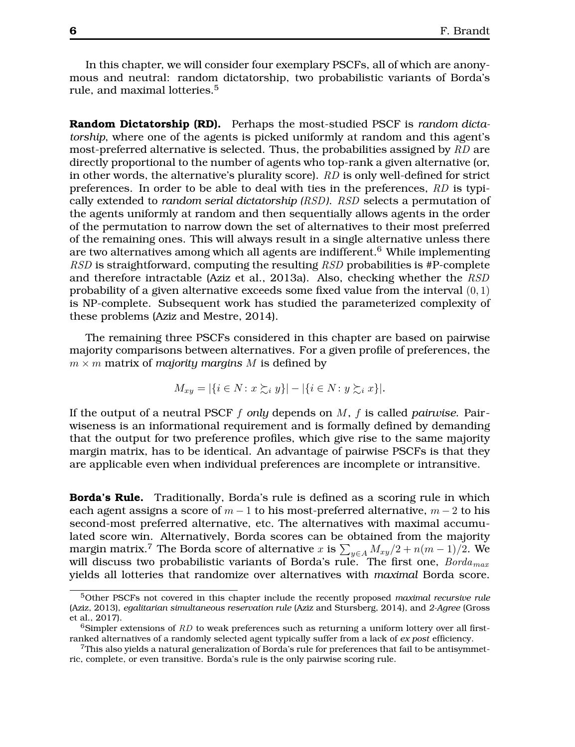In this chapter, we will consider four exemplary PSCFs, all of which are anonymous and neutral: random dictatorship, two probabilistic variants of Borda's rule, and maximal lotteries.<sup>[5](#page-3-0)</sup>

**Random Dictatorship (RD).** Perhaps the most-studied PSCF is *random dictatorship*, where one of the agents is picked uniformly at random and this agent's most-preferred alternative is selected. Thus, the probabilities assigned by RD are directly proportional to the number of agents who top-rank a given alternative (or, in other words, the alternative's plurality score). RD is only well-defined for strict preferences. In order to be able to deal with ties in the preferences, RD is typically extended to *random serial dictatorship (*RSD*)*. RSD selects a permutation of the agents uniformly at random and then sequentially allows agents in the order of the permutation to narrow down the set of alternatives to their most preferred of the remaining ones. This will always result in a single alternative unless there are two alternatives among which all agents are indifferent.<sup>[6](#page-3-1)</sup> While implementing RSD is straightforward, computing the resulting RSD probabilities is #P-complete and therefore intractable [\(Aziz et al., 2013a\)](#page-17-1). Also, checking whether the RSD probability of a given alternative exceeds some fixed value from the interval  $(0, 1)$ is NP-complete. Subsequent work has studied the parameterized complexity of these problems [\(Aziz and Mestre, 2014\)](#page-16-3).

The remaining three PSCFs considered in this chapter are based on pairwise majority comparisons between alternatives. For a given profile of preferences, the  $m \times m$  matrix of *majority margins* M is defined by

$$
M_{xy} = |\{i \in N \colon x \succsim_i y\}| - |\{i \in N \colon y \succsim_i x\}|.
$$

If the output of a neutral PSCF f *only* depends on M, f is called *pairwise*. Pairwiseness is an informational requirement and is formally defined by demanding that the output for two preference profiles, which give rise to the same majority margin matrix, has to be identical. An advantage of pairwise PSCFs is that they are applicable even when individual preferences are incomplete or intransitive.

**Borda's Rule.** Traditionally, Borda's rule is defined as a scoring rule in which each agent assigns a score of  $m-1$  to his most-preferred alternative,  $m-2$  to his second-most preferred alternative, etc. The alternatives with maximal accumulated score win. Alternatively, Borda scores can be obtained from the majority margin matrix.<sup>[7](#page-3-2)</sup> The Borda score of alternative  $x$  is  $\sum_{y\in A}M_{xy}/2+n(m-1)/2.$  We will discuss two probabilistic variants of Borda's rule. The first one,  $Borda_{max}$ yields all lotteries that randomize over alternatives with *maximal* Borda score.

<span id="page-3-0"></span><sup>5</sup>Other PSCFs not covered in this chapter include the recently proposed *maximal recursive rule* [\(Aziz, 2013\)](#page-16-4), *egalitarian simultaneous reservation rule* [\(Aziz and Stursberg, 2014\)](#page-17-2), and *2-Agree* [\(Gross](#page-21-4) [et al., 2017\)](#page-21-4).

<span id="page-3-1"></span> $6$ Simpler extensions of RD to weak preferences such as returning a uniform lottery over all firstranked alternatives of a randomly selected agent typically suffer from a lack of *ex post* efficiency.

<span id="page-3-2"></span> $7$ This also yields a natural generalization of Borda's rule for preferences that fail to be antisymmetric, complete, or even transitive. Borda's rule is the only pairwise scoring rule.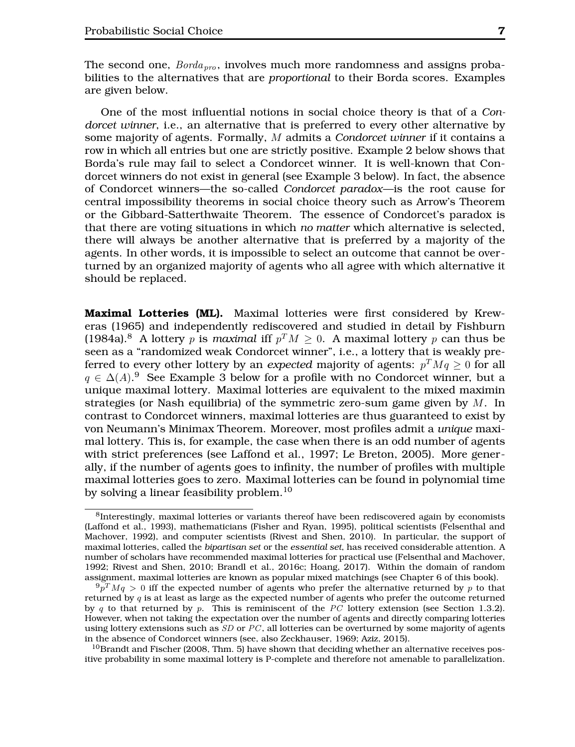The second one,  $Borda_{nro}$ , involves much more randomness and assigns probabilities to the alternatives that are *proportional* to their Borda scores. Examples are given below.

One of the most influential notions in social choice theory is that of a *Condorcet winner*, i.e., an alternative that is preferred to every other alternative by some majority of agents. Formally, M admits a *Condorcet winner* if it contains a row in which all entries but one are strictly positive. Example 2 below shows that Borda's rule may fail to select a Condorcet winner. It is well-known that Condorcet winners do not exist in general (see Example 3 below). In fact, the absence of Condorcet winners—the so-called *Condorcet paradox*—is the root cause for central impossibility theorems in social choice theory such as Arrow's Theorem or the Gibbard-Satterthwaite Theorem. The essence of Condorcet's paradox is that there are voting situations in which *no matter* which alternative is selected, there will always be another alternative that is preferred by a majority of the agents. In other words, it is impossible to select an outcome that cannot be overturned by an organized majority of agents who all agree with which alternative it should be replaced.

**Maximal Lotteries (ML).** Maximal lotteries were first considered by [Krew](#page-21-5)[eras](#page-21-5) [\(1965\)](#page-21-5) and independently rediscovered and studied in detail by [Fishburn](#page-20-4) [\(1984a\)](#page-20-4).<sup>[8](#page-4-0)</sup> A lottery p is maximal iff  $p^T M \geq 0$ . A maximal lottery p can thus be seen as a "randomized weak Condorcet winner", i.e., a lottery that is weakly preferred to every other lottery by an *expected* majority of agents:  $p^TMq\geq 0$  for all  $q \in \Delta(A)$ .<sup>[9](#page-4-1)</sup> See Example 3 below for a profile with no Condorcet winner, but a unique maximal lottery. Maximal lotteries are equivalent to the mixed maximin strategies (or Nash equilibria) of the symmetric zero-sum game given by  $M$ . In contrast to Condorcet winners, maximal lotteries are thus guaranteed to exist by von Neumann's Minimax Theorem. Moreover, most profiles admit a *unique* maximal lottery. This is, for example, the case when there is an odd number of agents with strict preferences (see [Laffond et al., 1997;](#page-21-6) [Le Breton, 2005\)](#page-21-7). More generally, if the number of agents goes to infinity, the number of profiles with multiple maximal lotteries goes to zero. Maximal lotteries can be found in polynomial time by solving a linear feasibility problem.<sup>[10](#page-4-2)</sup>

<span id="page-4-0"></span><sup>&</sup>lt;sup>8</sup>Interestingly, maximal lotteries or variants thereof have been rediscovered again by economists [\(Laffond et al., 1993\)](#page-21-8), mathematicians [\(Fisher and Ryan, 1995\)](#page-20-5), political scientists [\(Felsenthal and](#page-20-6) [Machover, 1992\)](#page-20-6), and computer scientists [\(Rivest and Shen, 2010\)](#page-22-3). In particular, the support of maximal lotteries, called the *bipartisan set* or the *essential set*, has received considerable attention. A number of scholars have recommended maximal lotteries for practical use [\(Felsenthal and Machover,](#page-20-6) [1992;](#page-20-6) [Rivest and Shen, 2010;](#page-22-3) [Brandl et al., 2016c;](#page-18-2) [Hoang, 2017\)](#page-21-9). Within the domain of random assignment, maximal lotteries are known as popular mixed matchings (see Chapter 6 of this book).

<span id="page-4-1"></span> $\mathcal{P}_p^T M q > 0$  iff the expected number of agents who prefer the alternative returned by p to that returned by  $q$  is at least as large as the expected number of agents who prefer the outcome returned by q to that returned by p. This is reminiscent of the  $PC$  lottery extension (see Section [1.3.2\)](#page-8-0). However, when not taking the expectation over the number of agents and directly comparing lotteries using lottery extensions such as  $SD$  or  $PC$ , all lotteries can be overturned by some majority of agents in the absence of Condorcet winners (see, also [Zeckhauser, 1969;](#page-23-1) [Aziz, 2015\)](#page-16-5).

<span id="page-4-2"></span> $10B$ [Brandt and Fischer \(2008,](#page-18-3) Thm. 5) have shown that deciding whether an alternative receives positive probability in some maximal lottery is P-complete and therefore not amenable to parallelization.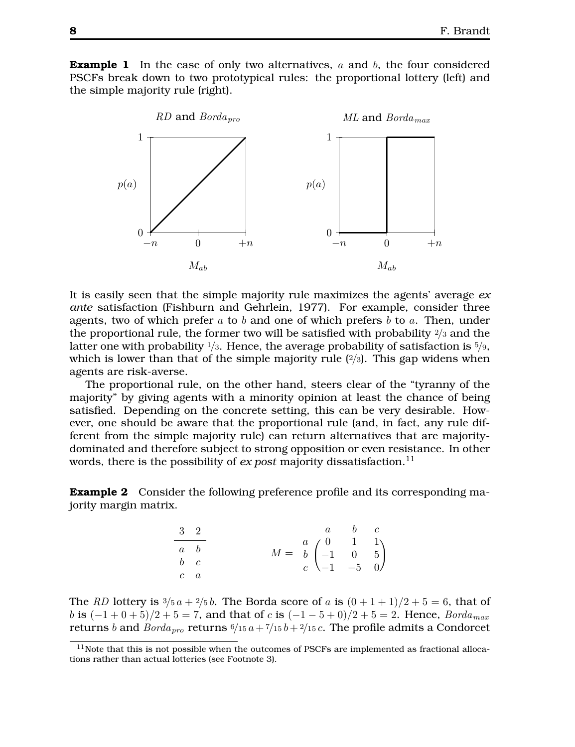**Example 1** In the case of only two alternatives,  $a$  and  $b$ , the four considered PSCFs break down to two prototypical rules: the proportional lottery (left) and the simple majority rule (right).



It is easily seen that the simple majority rule maximizes the agents' average *ex ante* satisfaction [\(Fishburn and Gehrlein, 1977\)](#page-20-7). For example, consider three agents, two of which prefer  $a$  to  $b$  and one of which prefers  $b$  to  $a$ . Then, under the proportional rule, the former two will be satisfied with probability  $\frac{2}{3}$  and the latter one with probability  $\frac{1}{3}$ . Hence, the average probability of satisfaction is  $\frac{5}{9}$ , which is lower than that of the simple majority rule  $\left(\frac{2}{3}\right)$ . This gap widens when agents are risk-averse.

The proportional rule, on the other hand, steers clear of the "tyranny of the majority" by giving agents with a minority opinion at least the chance of being satisfied. Depending on the concrete setting, this can be very desirable. However, one should be aware that the proportional rule (and, in fact, any rule different from the simple majority rule) can return alternatives that are majoritydominated and therefore subject to strong opposition or even resistance. In other words, there is the possibility of  $ex$  *post* majority dissatisfaction.<sup>[11](#page-5-0)</sup>

**Example 2** Consider the following preference profile and its corresponding majority margin matrix.

| 3 2         |                                                                                                                      |  | $a \qquad b \qquad c$ |  |
|-------------|----------------------------------------------------------------------------------------------------------------------|--|-----------------------|--|
| $a \quad b$ | $M = \begin{array}{cc} a \\ b \\ c \end{array} \begin{pmatrix} 0 & 1 & 1 \\ -1 & 0 & 5 \\ -1 & -5 & 0 \end{pmatrix}$ |  |                       |  |
| $b\quad c$  |                                                                                                                      |  |                       |  |
| $c \quad a$ |                                                                                                                      |  |                       |  |

The RD lottery is  $\frac{3}{5}a + \frac{2}{5}b$ . The Borda score of a is  $(0 + 1 + 1)/2 + 5 = 6$ , that of *b* is  $(-1+0+5)/2+5=7$ , and that of *c* is  $(-1-5+0)/2+5=2$ . Hence, *Borda<sub>max</sub>* returns b and  $Borda_{pro}$  returns  $6/15a+7/15b+2/15c$ . The profile admits a Condorcet

<span id="page-5-0"></span> $11$ Note that this is not possible when the outcomes of PSCFs are implemented as fractional allocations rather than actual lotteries (see Footnote [3\)](#page-2-0).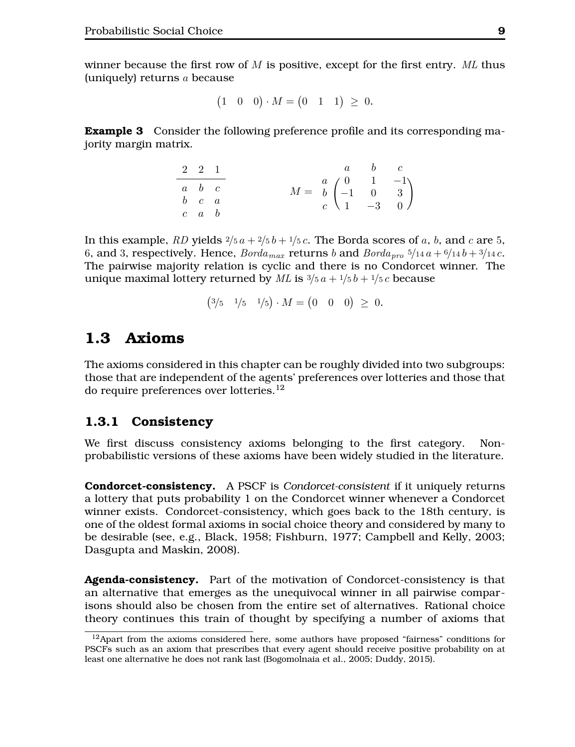winner because the first row of  $M$  is positive, except for the first entry.  $ML$  thus (uniquely) returns a because

$$
(1 \ 0 \ 0) \cdot M = (0 \ 1 \ 1) \ge 0.
$$

**Example 3** Consider the following preference profile and its corresponding majority margin matrix.

| 2 2 1                                                           |  |  |  | $a \qquad b \qquad c$                                                                                                |
|-----------------------------------------------------------------|--|--|--|----------------------------------------------------------------------------------------------------------------------|
| $a \quad b \quad c$<br>$b\quad c\quad a$<br>$c \quad a \quad b$ |  |  |  | $M = \begin{array}{cc} a \\ b \\ c \end{array} \begin{pmatrix} 0 & 1 & -1 \\ -1 & 0 & 3 \\ 1 & -3 & 0 \end{pmatrix}$ |

In this example, RD yields  $\frac{2}{5}a + \frac{2}{5}b + \frac{1}{5}c$ . The Borda scores of a, b, and c are 5, 6, and 3, respectively. Hence,  $Borda_{max}$  returns  $b$  and  $Borda_{pro}$   $5/14a + 6/14b + 3/14c$ . The pairwise majority relation is cyclic and there is no Condorcet winner. The unique maximal lottery returned by ML is  $\frac{3}{5}a + \frac{1}{5}b + \frac{1}{5}c$  because

$$
(3/5 \t 1/5 \t 1/5) \cdot M = (0 \t 0 \t 0) \geq 0.
$$

## <span id="page-6-0"></span>**1.3 Axioms**

The axioms considered in this chapter can be roughly divided into two subgroups: those that are independent of the agents' preferences over lotteries and those that do require preferences over lotteries.[12](#page-6-1)

#### **1.3.1 Consistency**

We first discuss consistency axioms belonging to the first category. Nonprobabilistic versions of these axioms have been widely studied in the literature.

**Condorcet-consistency.** A PSCF is *Condorcet-consistent* if it uniquely returns a lottery that puts probability 1 on the Condorcet winner whenever a Condorcet winner exists. Condorcet-consistency, which goes back to the 18th century, is one of the oldest formal axioms in social choice theory and considered by many to be desirable (see, e.g., [Black, 1958;](#page-18-4) [Fishburn, 1977;](#page-20-8) [Campbell and Kelly, 2003;](#page-19-4) [Dasgupta and Maskin, 2008\)](#page-19-5).

**Agenda-consistency.** Part of the motivation of Condorcet-consistency is that an alternative that emerges as the unequivocal winner in all pairwise comparisons should also be chosen from the entire set of alternatives. Rational choice theory continues this train of thought by specifying a number of axioms that

<span id="page-6-1"></span> $12$ Apart from the axioms considered here, some authors have proposed "fairness" conditions for PSCFs such as an axiom that prescribes that every agent should receive positive probability on at least one alternative he does not rank last [\(Bogomolnaia et al., 2005;](#page-18-5) [Duddy, 2015\)](#page-19-6).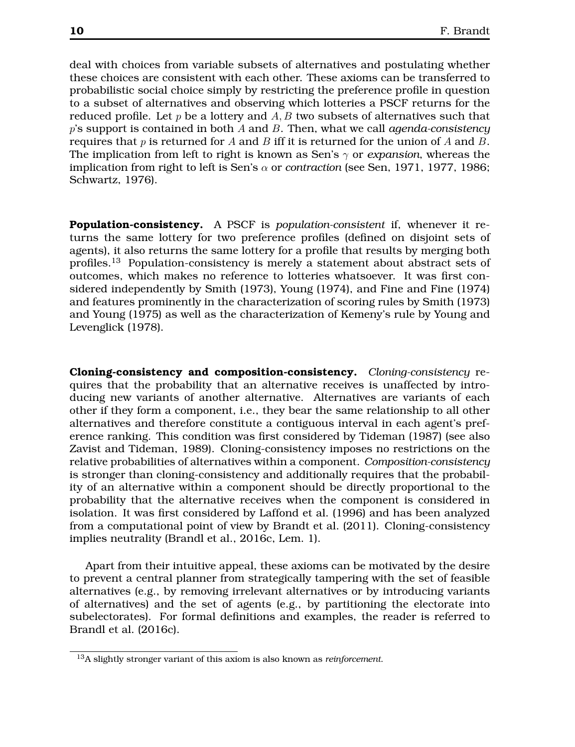deal with choices from variable subsets of alternatives and postulating whether these choices are consistent with each other. These axioms can be transferred to probabilistic social choice simply by restricting the preference profile in question to a subset of alternatives and observing which lotteries a PSCF returns for the reduced profile. Let  $p$  be a lottery and  $\overline{A}$ ,  $\overline{B}$  two subsets of alternatives such that p's support is contained in both A and B. Then, what we call *agenda-consistency* requires that  $p$  is returned for A and B iff it is returned for the union of A and B. The implication from left to right is known as Sen's γ or *expansion*, whereas the implication from right to left is Sen's  $\alpha$  or *contraction* (see [Sen, 1971,](#page-23-4) [1977,](#page-23-5) [1986;](#page-23-6) [Schwartz, 1976\)](#page-22-4).

**Population-consistency.** A PSCF is *population-consistent* if, whenever it returns the same lottery for two preference profiles (defined on disjoint sets of agents), it also returns the same lottery for a profile that results by merging both profiles.[13](#page-7-0) Population-consistency is merely a statement about abstract sets of outcomes, which makes no reference to lotteries whatsoever. It was first considered independently by [Smith](#page-23-7) [\(1973\)](#page-23-7), [Young](#page-23-8) [\(1974\)](#page-23-8), and [Fine and Fine](#page-20-9) [\(1974\)](#page-20-9) and features prominently in the characterization of scoring rules by [Smith](#page-23-7) [\(1973\)](#page-23-7) and [Young](#page-23-9) [\(1975\)](#page-23-9) as well as the characterization of Kemeny's rule by [Young and](#page-23-10) [Levenglick](#page-23-10) [\(1978\)](#page-23-10).

**Cloning-consistency and composition-consistency.** *Cloning-consistency* requires that the probability that an alternative receives is unaffected by introducing new variants of another alternative. Alternatives are variants of each other if they form a component, i.e., they bear the same relationship to all other alternatives and therefore constitute a contiguous interval in each agent's preference ranking. This condition was first considered by [Tideman](#page-23-11) [\(1987\)](#page-23-11) (see also [Zavist and Tideman, 1989\)](#page-23-12). Cloning-consistency imposes no restrictions on the relative probabilities of alternatives within a component. *Composition-consistency* is stronger than cloning-consistency and additionally requires that the probability of an alternative within a component should be directly proportional to the probability that the alternative receives when the component is considered in isolation. It was first considered by [Laffond et al.](#page-21-10) [\(1996\)](#page-21-10) and has been analyzed from a computational point of view by [Brandt et al.](#page-19-7) [\(2011\)](#page-19-7). Cloning-consistency implies neutrality [\(Brandl et al., 2016c,](#page-18-2) Lem. 1).

Apart from their intuitive appeal, these axioms can be motivated by the desire to prevent a central planner from strategically tampering with the set of feasible alternatives (e.g., by removing irrelevant alternatives or by introducing variants of alternatives) and the set of agents (e.g., by partitioning the electorate into subelectorates). For formal definitions and examples, the reader is referred to [Brandl et al.](#page-18-2) [\(2016c\)](#page-18-2).

<span id="page-7-0"></span><sup>13</sup>A slightly stronger variant of this axiom is also known as *reinforcement*.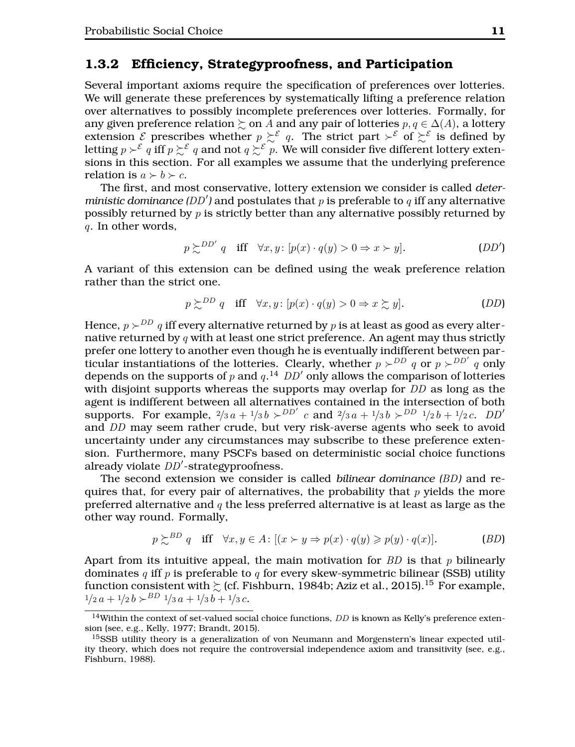#### <span id="page-8-0"></span>**1.3.2 Efficiency, Strategyproofness, and Participation**

Several important axioms require the specification of preferences over lotteries. We will generate these preferences by systematically lifting a preference relation over alternatives to possibly incomplete preferences over lotteries. Formally, for any given preference relation  $\succeq$  on A and any pair of lotteries  $p, q \in \Delta(A)$ , a lottery extension  $\mathcal E$  prescribes whether  $p \succsim^{\mathcal E} q$ . The strict part  $\succ^\mathcal E$  of  $\succsim^{\mathcal E}$  is defined by letting  $p \succ^{\mathcal{E}} q$  iff  $p \succsim^{\mathcal{E}} q$  and not  $q \succsim^{\mathcal{E}} p.$  We will consider five different lottery extensions in this section. For all examples we assume that the underlying preference relation is  $a \succ b \succ c$ .

The first, and most conservative, lottery extension we consider is called *deterministic dominance (DD')* and postulates that  $p$  is preferable to  $q$  iff any alternative possibly returned by  $p$  is strictly better than any alternative possibly returned by q. In other words,

$$
p \succsim^{DD'} q \quad \text{iff} \quad \forall x, y \colon [p(x) \cdot q(y) > 0 \Rightarrow x \succ y]. \tag{DD'}
$$

A variant of this extension can be defined using the weak preference relation rather than the strict one.

$$
p \succsim^{DD} q \quad \text{iff} \quad \forall x, y \colon [p(x) \cdot q(y) > 0 \Rightarrow x \succsim y]. \tag{DD}
$$

Hence,  $p \succ^{DD} q$  iff every alternative returned by p is at least as good as every alternative returned by q with at least one strict preference. An agent may thus strictly prefer one lottery to another even though he is eventually indifferent between particular instantiations of the lotteries. Clearly, whether  $p \succ^{DD} q$  or  $p \succ^{DD'} q$  only depends on the supports of  $p$  and  $q.^{14}$  $q.^{14}$  $q.^{14}$   $DD^{\prime}$  only allows the comparison of lotteries with disjoint supports whereas the supports may overlap for *DD* as long as the agent is indifferent between all alternatives contained in the intersection of both supports. For example,  $2/3 a + 1/3 b > D D'$  c and  $2/3 a + 1/3 b > D D$   $1/2 b + 1/2 c$ . DD and DD may seem rather crude, but very risk-averse agents who seek to avoid uncertainty under any circumstances may subscribe to these preference extension. Furthermore, many PSCFs based on deterministic social choice functions already violate  $DD'$ -strategyproofness.

The second extension we consider is called *bilinear dominance (*BD*)* and requires that, for every pair of alternatives, the probability that  $p$  yields the more preferred alternative and  $q$  the less preferred alternative is at least as large as the other way round. Formally,

$$
p \succsim^{BD} q \quad \text{iff} \quad \forall x, y \in A \colon [(x \succ y \Rightarrow p(x) \cdot q(y) \geq p(y) \cdot q(x)]. \tag{BD}
$$

Apart from its intuitive appeal, the main motivation for  $BD$  is that p bilinearly dominates q iff p is preferable to q for every skew-symmetric bilinear (SSB) utility function consistent with  $\succeq$  (cf. [Fishburn, 1984b;](#page-20-10) [Aziz et al., 2015\)](#page-17-3).<sup>[15](#page-8-2)</sup> For example,  $1/2 a + 1/2 b \succ^{BD} 1/3 a + 1/3 b + 1/3 c.$ 

<span id="page-8-1"></span> $14$ Within the context of set-valued social choice functions,  $DD$  is known as Kelly's preference extension (see, e.g., [Kelly, 1977;](#page-21-11) [Brandt, 2015\)](#page-18-6).

<span id="page-8-2"></span><sup>&</sup>lt;sup>15</sup>SSB utility theory is a generalization of von Neumann and Morgenstern's linear expected utility theory, which does not require the controversial independence axiom and transitivity (see, e.g., [Fishburn, 1988\)](#page-20-11).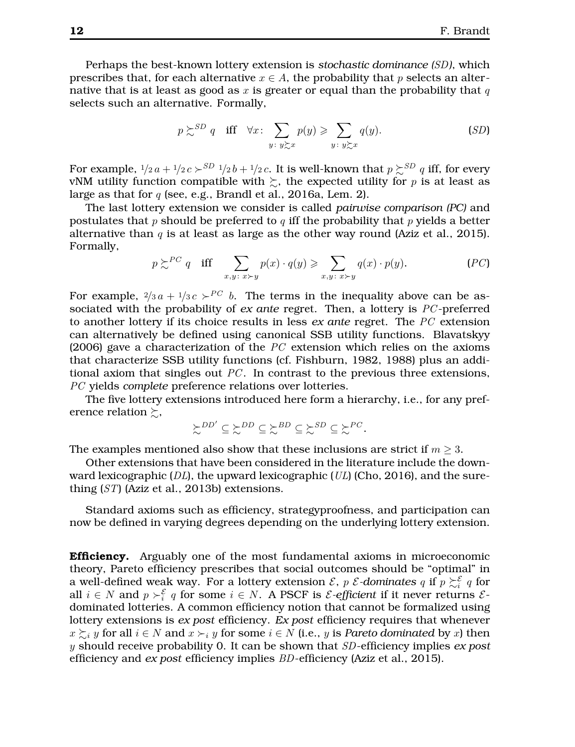Perhaps the best-known lottery extension is *stochastic dominance (*SD*)*, which prescribes that, for each alternative  $x \in A$ , the probability that p selects an alternative that is at least as good as x is greater or equal than the probability that  $q$ selects such an alternative. Formally,

$$
p \succsim^{SD} q \quad \text{iff} \quad \forall x \colon \sum_{y \colon y \succsim x} p(y) \geqslant \sum_{y \colon y \succsim x} q(y). \tag{SD}
$$

For example,  $1/2 a + 1/2 c > B$   $1/2 b + 1/2 c$ . It is well-known that  $p \geq B$  q iff, for every vNM utility function compatible with  $\succeq$ , the expected utility for p is at least as large as that for  $q$  (see, e.g., [Brandl et al., 2016a,](#page-18-7) Lem. 2).

The last lottery extension we consider is called *pairwise comparison (PC)* and postulates that p should be preferred to q iff the probability that p yields a better alternative than  $q$  is at least as large as the other way round [\(Aziz et al., 2015\)](#page-17-3). Formally,

$$
p \succsim^{PC} q \quad \text{iff} \quad \sum_{x,y \colon x \succ y} p(x) \cdot q(y) \geqslant \sum_{x,y \colon x \succ y} q(x) \cdot p(y). \tag{PC}
$$

For example,  $2/3a + 1/3c$   $\geq$ <sup>PC</sup> b. The terms in the inequality above can be associated with the probability of *ex ante* regret. Then, a lottery is PC -preferred to another lottery if its choice results in less *ex ante* regret. The PC extension can alternatively be defined using canonical SSB utility functions. [Blavatskyy](#page-18-8) [\(2006\)](#page-18-8) gave a characterization of the  $PC$  extension which relies on the axioms that characterize SSB utility functions (cf. [Fishburn, 1982,](#page-20-12) [1988\)](#page-20-11) plus an additional axiom that singles out  $PC$ . In contrast to the previous three extensions, PC yields *complete* preference relations over lotteries.

The five lottery extensions introduced here form a hierarchy, i.e., for any preference relation  $\succsim$ ,

$$
\succsim^{DD'} \subseteq \succsim^{DD} \subseteq \succsim^{BD} \subseteq \succsim^{SD} \subseteq \succsim^{PC}.
$$

The examples mentioned also show that these inclusions are strict if  $m \geq 3$ .

Other extensions that have been considered in the literature include the downward lexicographic  $(DL)$ , the upward lexicographic  $(UL)$  [\(Cho, 2016\)](#page-19-8), and the surething (ST) [\(Aziz et al., 2013b\)](#page-17-4) extensions.

Standard axioms such as efficiency, strategyproofness, and participation can now be defined in varying degrees depending on the underlying lottery extension.

**Efficiency.** Arguably one of the most fundamental axioms in microeconomic theory, Pareto efficiency prescribes that social outcomes should be "optimal" in a well-defined weak way. For a lottery extension  $\mathcal{E}$ ,  $p$   $\mathcal{E}$ -dominates  $q$  if  $p \succsim^{\mathcal{E}}_i q$  for all  $i \in N$  and  $p \succ_i^{\mathcal{E}} q$  for some  $i \in N$ . A PSCF is  $\mathcal{E}\text{-efficient}$  if it never returns  $\mathcal{E}\text{-}$ dominated lotteries. A common efficiency notion that cannot be formalized using lottery extensions is *ex post* efficiency. *Ex post* efficiency requires that whenever  $x \succcurlyeq_i y$  for all  $i \in N$  and  $x \succ_i y$  for some  $i \in N$  (i.e., y is *Pareto dominated* by x) then y should receive probability 0. It can be shown that SD-efficiency implies *ex post* efficiency and *ex post* efficiency implies BD-efficiency [\(Aziz et al., 2015\)](#page-17-3).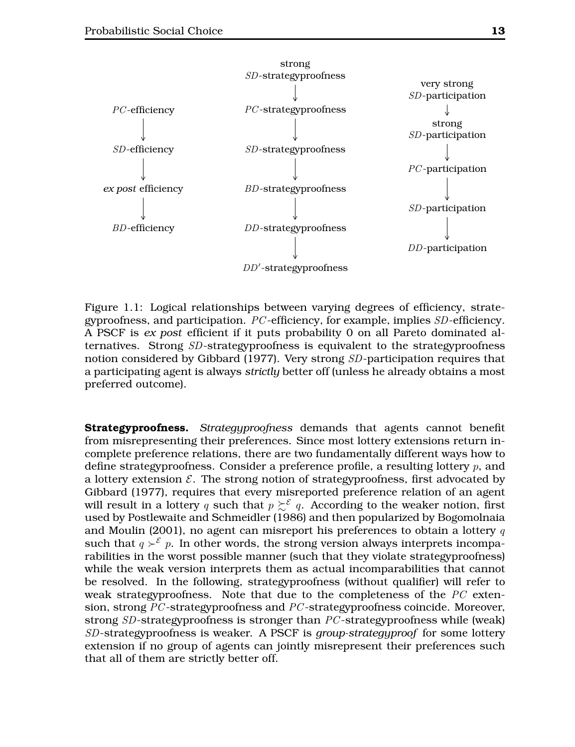

<span id="page-10-0"></span>Figure 1.1: Logical relationships between varying degrees of efficiency, strategyproofness, and participation. PC -efficiency, for example, implies SD-efficiency. A PSCF is *ex post* efficient if it puts probability 0 on all Pareto dominated alternatives. Strong SD-strategyproofness is equivalent to the strategyproofness notion considered by [Gibbard](#page-20-1) [\(1977\)](#page-20-1). Very strong SD-participation requires that a participating agent is always *strictly* better off (unless he already obtains a most preferred outcome).

**Strategyproofness.** *Strategyproofness* demands that agents cannot benefit from misrepresenting their preferences. Since most lottery extensions return incomplete preference relations, there are two fundamentally different ways how to define strategyproofness. Consider a preference profile, a resulting lottery  $p$ , and a lottery extension  $\mathcal{E}$ . The strong notion of strategyproofness, first advocated by [Gibbard](#page-20-1) [\(1977\)](#page-20-1), requires that every misreported preference relation of an agent will result in a lottery q such that  $p \succsim^{\mathcal{E}} q$ . According to the weaker notion, first used by [Postlewaite and Schmeidler](#page-22-5) [\(1986\)](#page-22-5) and then popularized by [Bogomolnaia](#page-18-0) [and Moulin](#page-18-0) [\(2001\)](#page-18-0), no agent can misreport his preferences to obtain a lottery  $q$ such that  $q \succ^{\mathcal{E}} p$ . In other words, the strong version always interprets incomparabilities in the worst possible manner (such that they violate strategyproofness) while the weak version interprets them as actual incomparabilities that cannot be resolved. In the following, strategyproofness (without qualifier) will refer to weak strategyproofness. Note that due to the completeness of the  $\overline{PC}$  extension, strong PC -strategyproofness and PC -strategyproofness coincide. Moreover, strong SD-strategyproofness is stronger than PC -strategyproofness while (weak) SD-strategyproofness is weaker. A PSCF is *group-strategyproof* for some lottery extension if no group of agents can jointly misrepresent their preferences such that all of them are strictly better off.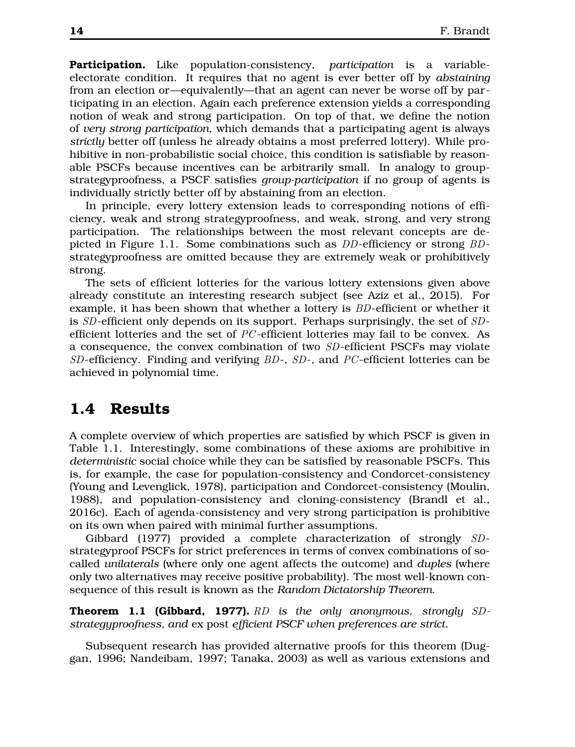**Participation.** Like population-consistency, *participation* is a variableelectorate condition. It requires that no agent is ever better off by *abstaining* from an election or—equivalently—that an agent can never be worse off by participating in an election. Again each preference extension yields a corresponding notion of weak and strong participation. On top of that, we define the notion of *very strong participation*, which demands that a participating agent is always *strictly* better off (unless he already obtains a most preferred lottery). While prohibitive in non-probabilistic social choice, this condition is satisfiable by reasonable PSCFs because incentives can be arbitrarily small. In analogy to groupstrategyproofness, a PSCF satisfies *group-participation* if no group of agents is individually strictly better off by abstaining from an election.

In principle, every lottery extension leads to corresponding notions of efficiency, weak and strong strategyproofness, and weak, strong, and very strong participation. The relationships between the most relevant concepts are depicted in Figure [1.1.](#page-10-0) Some combinations such as DD-efficiency or strong BDstrategyproofness are omitted because they are extremely weak or prohibitively strong.

The sets of efficient lotteries for the various lottery extensions given above already constitute an interesting research subject (see [Aziz et al., 2015\)](#page-17-3). For example, it has been shown that whether a lottery is BD-efficient or whether it is  $SD$ -efficient only depends on its support. Perhaps surprisingly, the set of  $SD$ efficient lotteries and the set of PC -efficient lotteries may fail to be convex. As a consequence, the convex combination of two SD-efficient PSCFs may violate  $SD$ -efficiency. Finding and verifying  $BD$ -,  $SD$ -, and  $PC$ -efficient lotteries can be achieved in polynomial time.

## <span id="page-11-0"></span>**1.4 Results**

A complete overview of which properties are satisfied by which PSCF is given in Table [1.1.](#page-12-0) Interestingly, some combinations of these axioms are prohibitive in *deterministic* social choice while they can be satisfied by reasonable PSCFs. This is, for example, the case for population-consistency and Condorcet-consistency [\(Young and Levenglick, 1978\)](#page-23-10), participation and Condorcet-consistency [\(Moulin,](#page-22-6) [1988\)](#page-22-6), and population-consistency and cloning-consistency [\(Brandl et al.,](#page-18-2) [2016c\)](#page-18-2). Each of agenda-consistency and very strong participation is prohibitive on its own when paired with minimal further assumptions.

[Gibbard](#page-20-1) [\(1977\)](#page-20-1) provided a complete characterization of strongly SDstrategyproof PSCFs for strict preferences in terms of convex combinations of socalled *unilaterals* (where only one agent affects the outcome) and *duples* (where only two alternatives may receive positive probability). The most well-known consequence of this result is known as the *Random Dictatorship Theorem*.

<span id="page-11-1"></span>**Theorem 1.1 [\(Gibbard, 1977\)](#page-20-1).** RD *is the only anonymous, strongly* SD*strategyproofness, and* ex post *efficient PSCF when preferences are strict.*

Subsequent research has provided alternative proofs for this theorem [\(Dug](#page-19-9)[gan, 1996;](#page-19-9) [Nandeibam, 1997;](#page-22-7) [Tanaka, 2003\)](#page-23-13) as well as various extensions and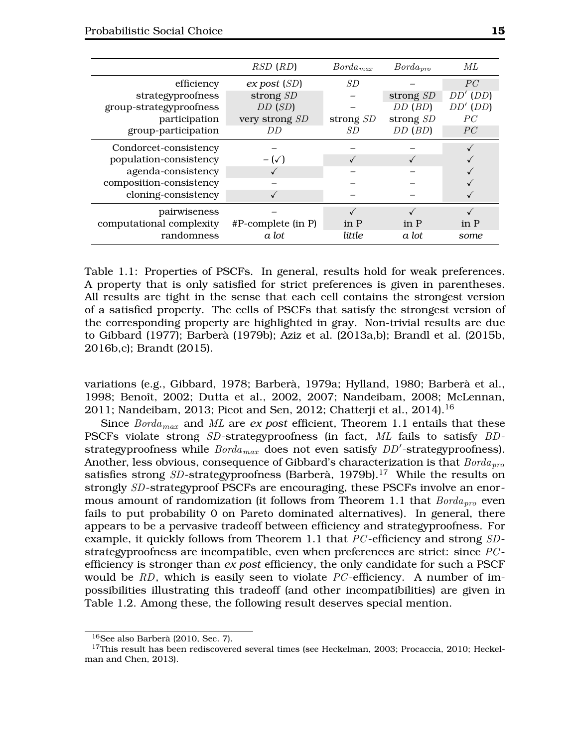|                          | $RSD$ $(RD)$           | $Borda_{max}$ | $Borda_{pro}$ | МL         |
|--------------------------|------------------------|---------------|---------------|------------|
| efficiency               | $ex$ post $(SD)$       | SD            |               | PC         |
| strategyproofness        | strong SD              |               | strong SD     | $DD'$ (DD) |
| group-strategyproofness  | DD(SD)                 |               | $DD$ $(BD)$   | $DD'$ (DD) |
| participation            | very strong SD         | strong SD     | strong SD     | PC         |
| group-participation      | DD                     | SD.           | $DD$ $(BD)$   | PC         |
| Condorcet-consistency    |                        |               |               |            |
| population-consistency   | $-(\sqrt{ } )$         |               |               |            |
| agenda-consistency       |                        |               |               |            |
| composition-consistency  |                        |               |               |            |
| cloning-consistency      |                        |               |               |            |
| pairwiseness             |                        |               |               |            |
| computational complexity | $\#P$ -complete (in P) | in P          | in P          | in P       |
| randomness               | a lot                  | little        | a lot         | some       |

<span id="page-12-0"></span>Table 1.1: Properties of PSCFs. In general, results hold for weak preferences. A property that is only satisfied for strict preferences is given in parentheses. All results are tight in the sense that each cell contains the strongest version of a satisfied property. The cells of PSCFs that satisfy the strongest version of the corresponding property are highlighted in gray. Non-trivial results are due to [Gibbard](#page-20-1) [\(1977\)](#page-20-1); [Barberà](#page-17-0) [\(1979b\)](#page-17-0); [Aziz et al.](#page-17-1) [\(2013a,](#page-17-1)[b\)](#page-17-4); [Brandl et al.](#page-18-9) [\(2015b,](#page-18-9) [2016b](#page-18-10)[,c\)](#page-18-2); [Brandt](#page-18-6) [\(2015\)](#page-18-6).

variations (e.g., [Gibbard, 1978;](#page-21-12) [Barberà, 1979a;](#page-17-5) [Hylland, 1980;](#page-21-13) [Barberà et al.,](#page-17-6) [1998;](#page-17-6) [Benoît, 2002;](#page-17-7) [Dutta et al., 2002,](#page-19-10) [2007;](#page-20-13) [Nandeibam, 2008;](#page-22-8) [McLennan,](#page-22-9) [2011;](#page-22-9) [Nandeibam, 2013;](#page-22-10) [Picot and Sen, 2012;](#page-22-11) [Chatterji et al., 2014\)](#page-19-11).<sup>[16](#page-12-1)</sup>

Since Bordamax and ML are *ex post* efficient, Theorem [1.1](#page-11-1) entails that these PSCFs violate strong SD-strategyproofness (in fact, ML fails to satisfy BDstrategyproofness while  $\it Borda_{max}$  does not even satisfy  $\it DD'$ -strategyproofness). Another, less obvious, consequence of Gibbard's characterization is that  $Borda_{pro}$ satisfies strong  $SD$ -strategyproofness [\(Barberà, 1979b\)](#page-17-0).<sup>[17](#page-12-2)</sup> While the results on strongly SD-strategyproof PSCFs are encouraging, these PSCFs involve an enor-mous amount of randomization (it follows from Theorem [1.1](#page-11-1) that  $Borda_{\text{pro}}$  even fails to put probability 0 on Pareto dominated alternatives). In general, there appears to be a pervasive tradeoff between efficiency and strategyproofness. For example, it quickly follows from Theorem [1.1](#page-11-1) that  $PC$ -efficiency and strong  $SD$ strategyproofness are incompatible, even when preferences are strict: since  $PC$ efficiency is stronger than *ex post* efficiency, the only candidate for such a PSCF would be  $RD$ , which is easily seen to violate  $PC$ -efficiency. A number of impossibilities illustrating this tradeoff (and other incompatibilities) are given in Table [1.2.](#page-13-0) Among these, the following result deserves special mention.

<span id="page-12-3"></span><span id="page-12-2"></span><span id="page-12-1"></span><sup>16</sup>See also [Barberà](#page-17-8) [\(2010,](#page-17-8) Sec. 7).

<sup>&</sup>lt;sup>17</sup>This result has been rediscovered several times (see [Heckelman, 2003;](#page-21-14) [Procaccia, 2010;](#page-22-2) [Heckel](#page-21-15)[man and Chen, 2013\)](#page-21-15).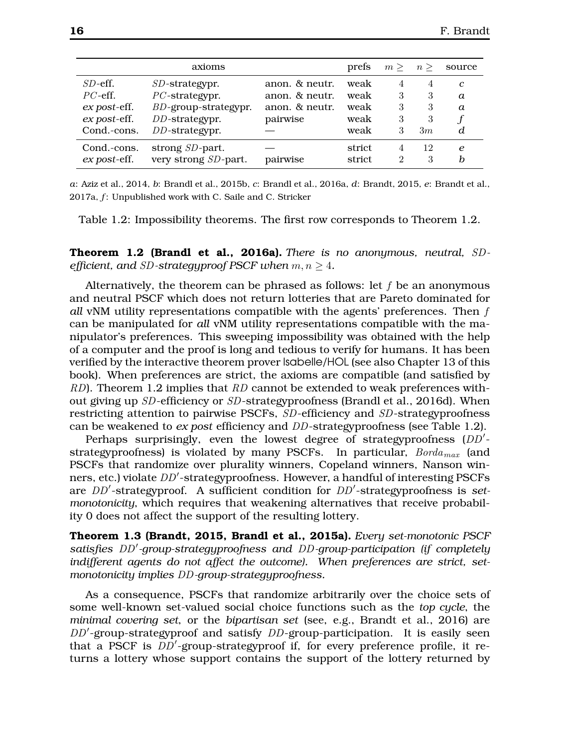|              | axioms                       |                | prefs  | m > | n > | source |
|--------------|------------------------------|----------------|--------|-----|-----|--------|
| $SD$ -eff.   | <i>SD</i> -strategypr.       | anon. & neutr. | weak   | 4   | 4   | C      |
| $PC$ -eff.   | $PC$ -strategypr.            | anon. & neutr. | weak   | 3   | 3   | a      |
| ex post-eff. | <i>BD</i> -group-strategypr. | anon. & neutr. | weak   | 3   | 3   | a      |
| ex post-eff. | DD-strategypr.               | pairwise       | weak   | 3   | 3   |        |
| Cond.-cons.  | DD-strategypr.               |                | weak   | 3   | 3m  | d.     |
| Cond.-cons.  | strong SD-part.              |                | strict | 4   | 12  | e      |
| ex post-eff. | very strong SD-part.         | pairwise       | strict | 2   | 3   | b      |

*a*: [Aziz et al., 2014,](#page-17-9) *b*: [Brandl et al., 2015b,](#page-18-9) *c*: [Brandl et al., 2016a,](#page-18-7) *d*: [Brandt, 2015,](#page-18-6) *e*: [Brandt et al.,](#page-19-12) [2017a,](#page-19-12) *f*: Unpublished work with C. Saile and C. Stricker

<span id="page-13-0"></span>Table 1.2: Impossibility theorems. The first row corresponds to Theorem [1.2.](#page-12-3)

**Theorem 1.2 [\(Brandl et al., 2016a\)](#page-18-7).** *There is no anonymous, neutral,* SD*efficient, and SD-strategyproof PSCF when*  $m, n \geq 4$ *.* 

Alternatively, the theorem can be phrased as follows: let  $f$  be an anonymous and neutral PSCF which does not return lotteries that are Pareto dominated for *all* vNM utility representations compatible with the agents' preferences. Then f can be manipulated for *all* vNM utility representations compatible with the manipulator's preferences. This sweeping impossibility was obtained with the help of a computer and the proof is long and tedious to verify for humans. It has been verified by the interactive theorem prover Isabelle/HOL (see also Chapter 13 of this book). When preferences are strict, the axioms are compatible (and satisfied by  $RD$ ). Theorem [1.2](#page-12-3) implies that  $RD$  cannot be extended to weak preferences with-out giving up SD-efficiency or SD-strategyproofness [\(Brandl et al., 2016d\)](#page-18-11). When restricting attention to pairwise PSCFs, SD-efficiency and SD-strategyproofness can be weakened to *ex post* efficiency and DD-strategyproofness (see Table [1.2\)](#page-13-0).

Perhaps surprisingly, even the lowest degree of strategyproofness  $(DD')$ strategyproofness) is violated by many PSCFs. In particular,  $Borda_{mar}$  (and PSCFs that randomize over plurality winners, Copeland winners, Nanson winners, etc.) violate  $DD'$ -strategyproofness. However, a handful of interesting PSCFs are *DD'*-strategyproof. A sufficient condition for *DD'*-strategyproofness is set*monotonicity*, which requires that weakening alternatives that receive probability 0 does not affect the support of the resulting lottery.

**Theorem 1.3 [\(Brandt, 2015,](#page-18-6) [Brandl et al., 2015a\)](#page-18-12).** *Every set-monotonic PSCF* satisfies  $DD'$ -group-strategyproofness and  $DD$ -group-participation (if completely *indifferent agents do not affect the outcome). When preferences are strict, setmonotonicity implies* DD*-group-strategyproofness.*

As a consequence, PSCFs that randomize arbitrarily over the choice sets of some well-known set-valued social choice functions such as the *top cycle*, the *minimal covering set*, or the *bipartisan set* (see, e.g., [Brandt et al., 2016\)](#page-19-13) are  $DD'$ -group-strategyproof and satisfy  $DD$ -group-participation. It is easily seen that a PSCF is  $DD'$ -group-strategyproof if, for every preference profile, it returns a lottery whose support contains the support of the lottery returned by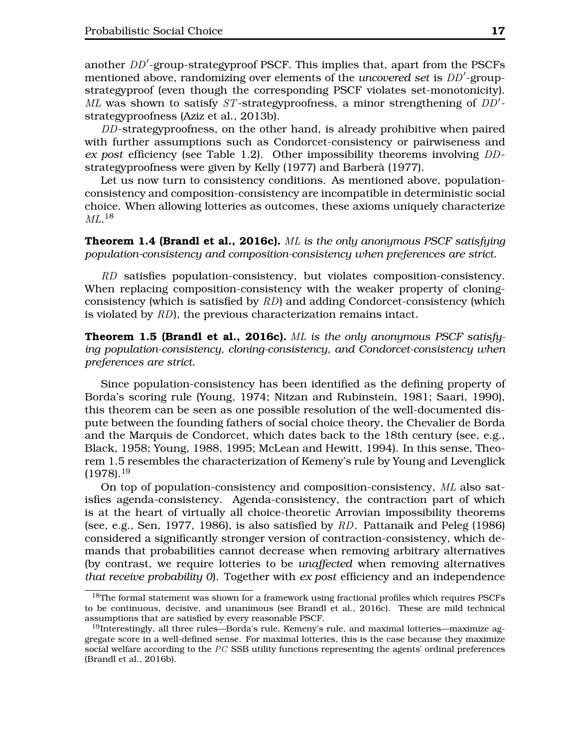another  $DD'$ -group-strategyproof PSCF. This implies that, apart from the PSCFs mentioned above, randomizing over elements of the *uncovered set* is *DD'*-groupstrategyproof (even though the corresponding PSCF violates set-monotonicity).  $ML$  was shown to satisfy  $ST$ -strategyproofness, a minor strengthening of  $DD'$ strategyproofness [\(Aziz et al., 2013b\)](#page-17-4).

DD-strategyproofness, on the other hand, is already prohibitive when paired with further assumptions such as Condorcet-consistency or pairwiseness and *ex post* efficiency (see Table [1.2\)](#page-13-0). Other impossibility theorems involving DDstrategyproofness were given by [Kelly](#page-21-11) [\(1977\)](#page-21-11) and [Barberà](#page-17-10) [\(1977\)](#page-17-10).

Let us now turn to consistency conditions. As mentioned above, populationconsistency and composition-consistency are incompatible in deterministic social choice. When allowing lotteries as outcomes, these axioms uniquely characterize  $ML.^{18}$  $ML.^{18}$  $ML.^{18}$ 

#### **Theorem 1.4 [\(Brandl et al., 2016c\)](#page-18-2).** ML *is the only anonymous PSCF satisfying population-consistency and composition-consistency when preferences are strict.*

RD satisfies population-consistency, but violates composition-consistency. When replacing composition-consistency with the weaker property of cloningconsistency (which is satisfied by RD) and adding Condorcet-consistency (which is violated by  $RD$ ), the previous characterization remains intact.

<span id="page-14-1"></span>**Theorem 1.5 [\(Brandl et al., 2016c\)](#page-18-2).** ML *is the only anonymous PSCF satisfying population-consistency, cloning-consistency, and Condorcet-consistency when preferences are strict.*

Since population-consistency has been identified as the defining property of Borda's scoring rule [\(Young, 1974;](#page-23-8) [Nitzan and Rubinstein, 1981;](#page-22-12) [Saari, 1990\)](#page-22-13), this theorem can be seen as one possible resolution of the well-documented dispute between the founding fathers of social choice theory, the Chevalier de Borda and the Marquis de Condorcet, which dates back to the 18th century (see, e.g., [Black, 1958;](#page-18-4) [Young, 1988,](#page-23-14) [1995;](#page-23-15) [McLean and Hewitt, 1994\)](#page-22-14). In this sense, Theorem [1.5](#page-14-1) resembles the characterization of Kemeny's rule by [Young and Levenglick](#page-23-10)  $(1978).^{19}$  $(1978).^{19}$  $(1978).^{19}$  $(1978).^{19}$ 

On top of population-consistency and composition-consistency, ML also satisfies agenda-consistency. Agenda-consistency, the contraction part of which is at the heart of virtually all choice-theoretic Arrovian impossibility theorems (see, e.g., [Sen, 1977,](#page-23-5) [1986\)](#page-23-6), is also satisfied by RD. [Pattanaik and Peleg](#page-22-15) [\(1986\)](#page-22-15) considered a significantly stronger version of contraction-consistency, which demands that probabilities cannot decrease when removing arbitrary alternatives (by contrast, we require lotteries to be *unaffected* when removing alternatives *that receive probability 0*). Together with *ex post* efficiency and an independence

<span id="page-14-0"></span><sup>&</sup>lt;sup>18</sup>The formal statement was shown for a framework using fractional profiles which requires PSCFs to be continuous, decisive, and unanimous (see [Brandl et al., 2016c\)](#page-18-2). These are mild technical assumptions that are satisfied by every reasonable PSCF.

<span id="page-14-2"></span><sup>19</sup>Interestingly, all three rules—Borda's rule, Kemeny's rule, and maximal lotteries—maximize aggregate score in a well-defined sense. For maximal lotteries, this is the case because they maximize social welfare according to the PC SSB utility functions representing the agents' ordinal preferences [\(Brandl et al., 2016b\)](#page-18-10).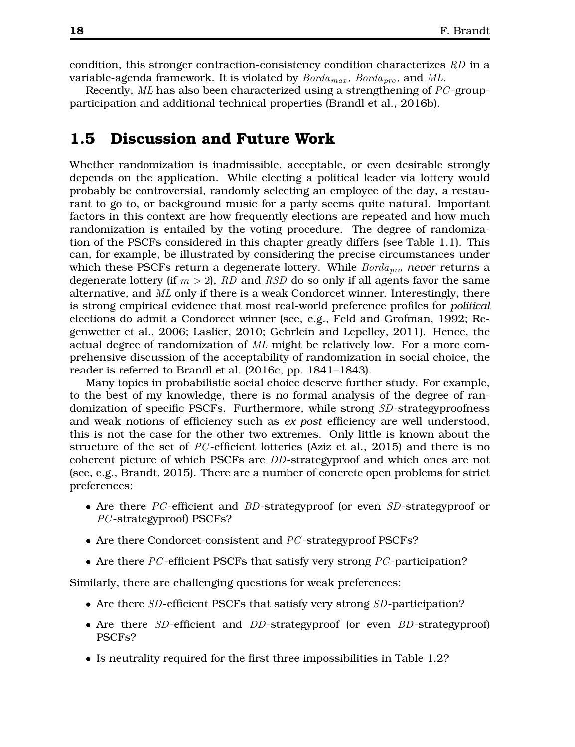condition, this stronger contraction-consistency condition characterizes  $RD$  in a variable-agenda framework. It is violated by  $Borda_{max}$ ,  $Borda_{pro}$ , and ML.

Recently, ML has also been characterized using a strengthening of PC -groupparticipation and additional technical properties [\(Brandl et al., 2016b\)](#page-18-10).

## **1.5 Discussion and Future Work**

Whether randomization is inadmissible, acceptable, or even desirable strongly depends on the application. While electing a political leader via lottery would probably be controversial, randomly selecting an employee of the day, a restaurant to go to, or background music for a party seems quite natural. Important factors in this context are how frequently elections are repeated and how much randomization is entailed by the voting procedure. The degree of randomization of the PSCFs considered in this chapter greatly differs (see Table [1.1\)](#page-12-0). This can, for example, be illustrated by considering the precise circumstances under which these PSCFs return a degenerate lottery. While  $Borda_{mn}$  never returns a degenerate lottery (if  $m > 2$ ), RD and RSD do so only if all agents favor the same alternative, and  $ML$  only if there is a weak Condorcet winner. Interestingly, there is strong empirical evidence that most real-world preference profiles for *political* elections do admit a Condorcet winner (see, e.g., [Feld and Grofman, 1992;](#page-20-14) [Re](#page-22-16)[genwetter et al., 2006;](#page-22-16) [Laslier, 2010;](#page-21-16) [Gehrlein and Lepelley, 2011\)](#page-20-15). Hence, the actual degree of randomization of ML might be relatively low. For a more comprehensive discussion of the acceptability of randomization in social choice, the reader is referred to [Brandl et al.](#page-18-2) [\(2016c,](#page-18-2) pp. 1841–1843).

Many topics in probabilistic social choice deserve further study. For example, to the best of my knowledge, there is no formal analysis of the degree of randomization of specific PSCFs. Furthermore, while strong SD-strategyproofness and weak notions of efficiency such as *ex post* efficiency are well understood, this is not the case for the other two extremes. Only little is known about the structure of the set of PC -efficient lotteries [\(Aziz et al., 2015\)](#page-17-3) and there is no coherent picture of which PSCFs are DD-strategyproof and which ones are not (see, e.g., [Brandt, 2015\)](#page-18-6). There are a number of concrete open problems for strict preferences:

- Are there PC-efficient and BD-strategyproof (or even SD-strategyproof or PC -strategyproof) PSCFs?
- Are there Condorcet-consistent and PC-strategyproof PSCFs?
- Are there  $PC$ -efficient PSCFs that satisfy very strong  $PC$ -participation?

Similarly, there are challenging questions for weak preferences:

- Are there SD-efficient PSCFs that satisfy very strong SD-participation?
- Are there SD-efficient and DD-strategyproof (or even BD-strategyproof) PSCFs?
- Is neutrality required for the first three impossibilities in Table [1.2?](#page-13-0)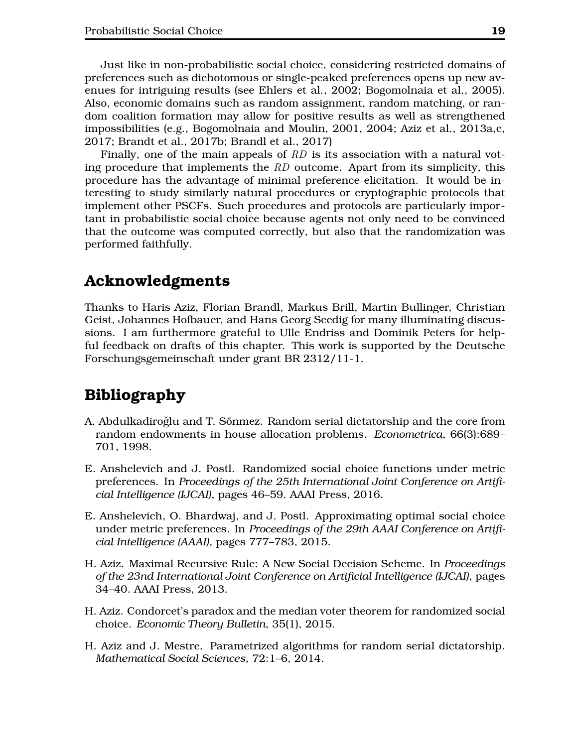Just like in non-probabilistic social choice, considering restricted domains of preferences such as dichotomous or single-peaked preferences opens up new avenues for intriguing results (see [Ehlers et al., 2002;](#page-20-16) [Bogomolnaia et al., 2005\)](#page-18-5). Also, economic domains such as random assignment, random matching, or random coalition formation may allow for positive results as well as strengthened impossibilities (e.g., [Bogomolnaia and Moulin, 2001,](#page-18-0) [2004;](#page-18-13) [Aziz et al., 2013a,](#page-17-1)[c,](#page-17-11) [2017;](#page-17-12) [Brandt et al., 2017b;](#page-19-14) [Brandl et al., 2017\)](#page-18-14)

Finally, one of the main appeals of  $RD$  is its association with a natural voting procedure that implements the  $RD$  outcome. Apart from its simplicity, this procedure has the advantage of minimal preference elicitation. It would be interesting to study similarly natural procedures or cryptographic protocols that implement other PSCFs. Such procedures and protocols are particularly important in probabilistic social choice because agents not only need to be convinced that the outcome was computed correctly, but also that the randomization was performed faithfully.

# **Acknowledgments**

Thanks to Haris Aziz, Florian Brandl, Markus Brill, Martin Bullinger, Christian Geist, Johannes Hofbauer, and Hans Georg Seedig for many illuminating discussions. I am furthermore grateful to Ulle Endriss and Dominik Peters for helpful feedback on drafts of this chapter. This work is supported by the Deutsche Forschungsgemeinschaft under grant BR 2312/11-1.

## **Bibliography**

- <span id="page-16-0"></span>A. Abdulkadiroğlu and T. Sönmez. Random serial dictatorship and the core from random endowments in house allocation problems. *Econometrica*, 66(3):689– 701, 1998.
- <span id="page-16-2"></span>E. Anshelevich and J. Postl. Randomized social choice functions under metric preferences. In *Proceedings of the 25th International Joint Conference on Artificial Intelligence (IJCAI)*, pages 46–59. AAAI Press, 2016.
- <span id="page-16-1"></span>E. Anshelevich, O. Bhardwaj, and J. Postl. Approximating optimal social choice under metric preferences. In *Proceedings of the 29th AAAI Conference on Artificial Intelligence (AAAI)*, pages 777–783, 2015.
- <span id="page-16-4"></span>H. Aziz. Maximal Recursive Rule: A New Social Decision Scheme. In *Proceedings of the 23nd International Joint Conference on Artificial Intelligence (IJCAI)*, pages 34–40. AAAI Press, 2013.
- <span id="page-16-5"></span>H. Aziz. Condorcet's paradox and the median voter theorem for randomized social choice. *Economic Theory Bulletin*, 35(1), 2015.
- <span id="page-16-3"></span>H. Aziz and J. Mestre. Parametrized algorithms for random serial dictatorship. *Mathematical Social Sciences*, 72:1–6, 2014.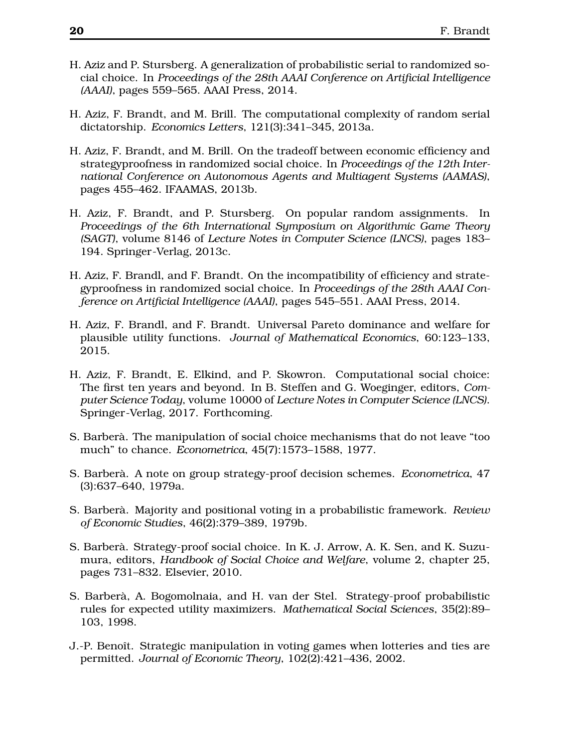- <span id="page-17-2"></span>H. Aziz and P. Stursberg. A generalization of probabilistic serial to randomized social choice. In *Proceedings of the 28th AAAI Conference on Artificial Intelligence (AAAI)*, pages 559–565. AAAI Press, 2014.
- <span id="page-17-1"></span>H. Aziz, F. Brandt, and M. Brill. The computational complexity of random serial dictatorship. *Economics Letters*, 121(3):341–345, 2013a.
- <span id="page-17-4"></span>H. Aziz, F. Brandt, and M. Brill. On the tradeoff between economic efficiency and strategyproofness in randomized social choice. In *Proceedings of the 12th International Conference on Autonomous Agents and Multiagent Systems (AAMAS)*, pages 455–462. IFAAMAS, 2013b.
- <span id="page-17-11"></span>H. Aziz, F. Brandt, and P. Stursberg. On popular random assignments. In *Proceedings of the 6th International Symposium on Algorithmic Game Theory (SAGT)*, volume 8146 of *Lecture Notes in Computer Science (LNCS)*, pages 183– 194. Springer-Verlag, 2013c.
- <span id="page-17-9"></span>H. Aziz, F. Brandl, and F. Brandt. On the incompatibility of efficiency and strategyproofness in randomized social choice. In *Proceedings of the 28th AAAI Conference on Artificial Intelligence (AAAI)*, pages 545–551. AAAI Press, 2014.
- <span id="page-17-3"></span>H. Aziz, F. Brandl, and F. Brandt. Universal Pareto dominance and welfare for plausible utility functions. *Journal of Mathematical Economics*, 60:123–133, 2015.
- <span id="page-17-12"></span>H. Aziz, F. Brandt, E. Elkind, and P. Skowron. Computational social choice: The first ten years and beyond. In B. Steffen and G. Woeginger, editors, *Computer Science Today*, volume 10000 of *Lecture Notes in Computer Science (LNCS)*. Springer-Verlag, 2017. Forthcoming.
- <span id="page-17-10"></span>S. Barberà. The manipulation of social choice mechanisms that do not leave "too much" to chance. *Econometrica*, 45(7):1573–1588, 1977.
- <span id="page-17-5"></span>S. Barberà. A note on group strategy-proof decision schemes. *Econometrica*, 47 (3):637–640, 1979a.
- <span id="page-17-0"></span>S. Barberà. Majority and positional voting in a probabilistic framework. *Review of Economic Studies*, 46(2):379–389, 1979b.
- <span id="page-17-8"></span>S. Barberà. Strategy-proof social choice. In K. J. Arrow, A. K. Sen, and K. Suzumura, editors, *Handbook of Social Choice and Welfare*, volume 2, chapter 25, pages 731–832. Elsevier, 2010.
- <span id="page-17-6"></span>S. Barberà, A. Bogomolnaia, and H. van der Stel. Strategy-proof probabilistic rules for expected utility maximizers. *Mathematical Social Sciences*, 35(2):89– 103, 1998.
- <span id="page-17-7"></span>J.-P. Benoît. Strategic manipulation in voting games when lotteries and ties are permitted. *Journal of Economic Theory*, 102(2):421–436, 2002.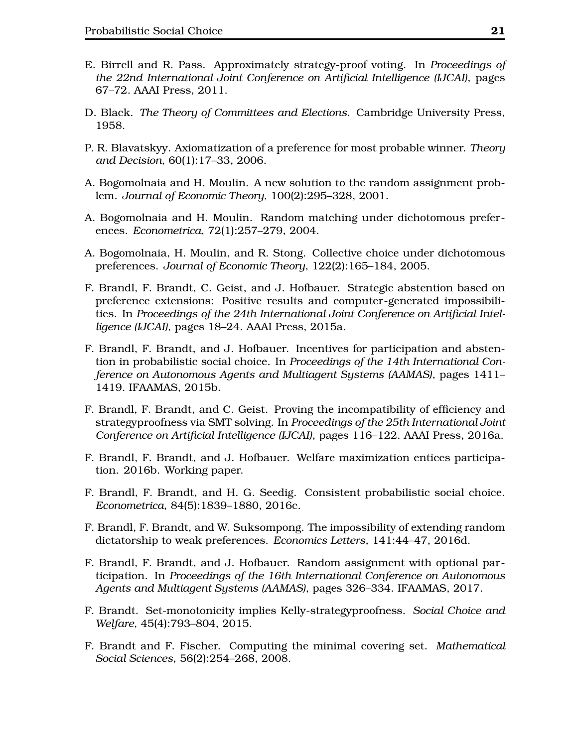- <span id="page-18-1"></span>E. Birrell and R. Pass. Approximately strategy-proof voting. In *Proceedings of the 22nd International Joint Conference on Artificial Intelligence (IJCAI)*, pages 67–72. AAAI Press, 2011.
- <span id="page-18-4"></span>D. Black. *The Theory of Committees and Elections*. Cambridge University Press, 1958.
- <span id="page-18-8"></span>P. R. Blavatskyy. Axiomatization of a preference for most probable winner. *Theory and Decision*, 60(1):17–33, 2006.
- <span id="page-18-0"></span>A. Bogomolnaia and H. Moulin. A new solution to the random assignment problem. *Journal of Economic Theory*, 100(2):295–328, 2001.
- <span id="page-18-13"></span>A. Bogomolnaia and H. Moulin. Random matching under dichotomous preferences. *Econometrica*, 72(1):257–279, 2004.
- <span id="page-18-5"></span>A. Bogomolnaia, H. Moulin, and R. Stong. Collective choice under dichotomous preferences. *Journal of Economic Theory*, 122(2):165–184, 2005.
- <span id="page-18-12"></span>F. Brandl, F. Brandt, C. Geist, and J. Hofbauer. Strategic abstention based on preference extensions: Positive results and computer-generated impossibilities. In *Proceedings of the 24th International Joint Conference on Artificial Intelligence (IJCAI)*, pages 18–24. AAAI Press, 2015a.
- <span id="page-18-9"></span>F. Brandl, F. Brandt, and J. Hofbauer. Incentives for participation and abstention in probabilistic social choice. In *Proceedings of the 14th International Conference on Autonomous Agents and Multiagent Systems (AAMAS)*, pages 1411– 1419. IFAAMAS, 2015b.
- <span id="page-18-7"></span>F. Brandl, F. Brandt, and C. Geist. Proving the incompatibility of efficiency and strategyproofness via SMT solving. In *Proceedings of the 25th International Joint Conference on Artificial Intelligence (IJCAI)*, pages 116–122. AAAI Press, 2016a.
- <span id="page-18-10"></span>F. Brandl, F. Brandt, and J. Hofbauer. Welfare maximization entices participation. 2016b. Working paper.
- <span id="page-18-2"></span>F. Brandl, F. Brandt, and H. G. Seedig. Consistent probabilistic social choice. *Econometrica*, 84(5):1839–1880, 2016c.
- <span id="page-18-11"></span>F. Brandl, F. Brandt, and W. Suksompong. The impossibility of extending random dictatorship to weak preferences. *Economics Letters*, 141:44–47, 2016d.
- <span id="page-18-14"></span>F. Brandl, F. Brandt, and J. Hofbauer. Random assignment with optional participation. In *Proceedings of the 16th International Conference on Autonomous Agents and Multiagent Systems (AAMAS)*, pages 326–334. IFAAMAS, 2017.
- <span id="page-18-6"></span>F. Brandt. Set-monotonicity implies Kelly-strategyproofness. *Social Choice and Welfare*, 45(4):793–804, 2015.
- <span id="page-18-3"></span>F. Brandt and F. Fischer. Computing the minimal covering set. *Mathematical Social Sciences*, 56(2):254–268, 2008.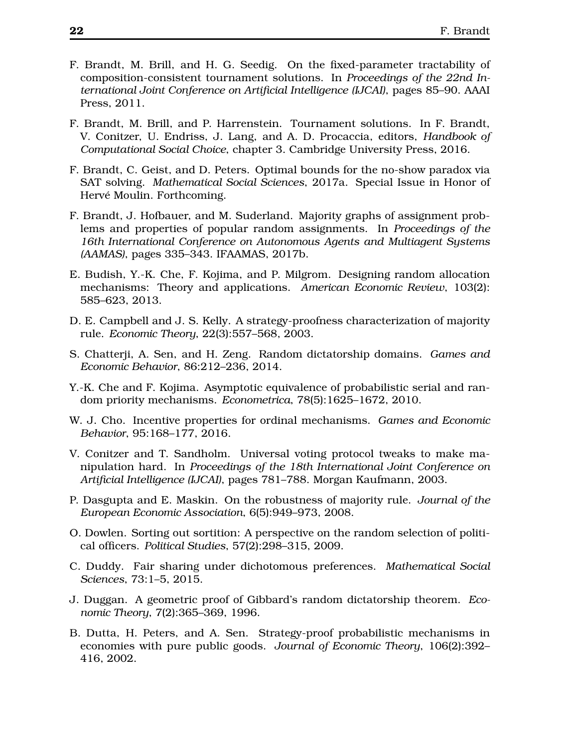- <span id="page-19-7"></span>F. Brandt, M. Brill, and H. G. Seedig. On the fixed-parameter tractability of composition-consistent tournament solutions. In *Proceedings of the 22nd International Joint Conference on Artificial Intelligence (IJCAI)*, pages 85–90. AAAI Press, 2011.
- <span id="page-19-13"></span>F. Brandt, M. Brill, and P. Harrenstein. Tournament solutions. In F. Brandt, V. Conitzer, U. Endriss, J. Lang, and A. D. Procaccia, editors, *Handbook of Computational Social Choice*, chapter 3. Cambridge University Press, 2016.
- <span id="page-19-12"></span>F. Brandt, C. Geist, and D. Peters. Optimal bounds for the no-show paradox via SAT solving. *Mathematical Social Sciences*, 2017a. Special Issue in Honor of Hervé Moulin. Forthcoming.
- <span id="page-19-14"></span>F. Brandt, J. Hofbauer, and M. Suderland. Majority graphs of assignment problems and properties of popular random assignments. In *Proceedings of the 16th International Conference on Autonomous Agents and Multiagent Systems (AAMAS)*, pages 335–343. IFAAMAS, 2017b.
- <span id="page-19-2"></span>E. Budish, Y.-K. Che, F. Kojima, and P. Milgrom. Designing random allocation mechanisms: Theory and applications. *American Economic Review*, 103(2): 585–623, 2013.
- <span id="page-19-4"></span>D. E. Campbell and J. S. Kelly. A strategy-proofness characterization of majority rule. *Economic Theory*, 22(3):557–568, 2003.
- <span id="page-19-11"></span>S. Chatterji, A. Sen, and H. Zeng. Random dictatorship domains. *Games and Economic Behavior*, 86:212–236, 2014.
- <span id="page-19-1"></span>Y.-K. Che and F. Kojima. Asymptotic equivalence of probabilistic serial and random priority mechanisms. *Econometrica*, 78(5):1625–1672, 2010.
- <span id="page-19-8"></span>W. J. Cho. Incentive properties for ordinal mechanisms. *Games and Economic Behavior*, 95:168–177, 2016.
- <span id="page-19-3"></span>V. Conitzer and T. Sandholm. Universal voting protocol tweaks to make manipulation hard. In *Proceedings of the 18th International Joint Conference on Artificial Intelligence (IJCAI)*, pages 781–788. Morgan Kaufmann, 2003.
- <span id="page-19-5"></span>P. Dasgupta and E. Maskin. On the robustness of majority rule. *Journal of the European Economic Association*, 6(5):949–973, 2008.
- <span id="page-19-0"></span>O. Dowlen. Sorting out sortition: A perspective on the random selection of political officers. *Political Studies*, 57(2):298–315, 2009.
- <span id="page-19-6"></span>C. Duddy. Fair sharing under dichotomous preferences. *Mathematical Social Sciences*, 73:1–5, 2015.
- <span id="page-19-9"></span>J. Duggan. A geometric proof of Gibbard's random dictatorship theorem. *Economic Theory*, 7(2):365–369, 1996.
- <span id="page-19-10"></span>B. Dutta, H. Peters, and A. Sen. Strategy-proof probabilistic mechanisms in economies with pure public goods. *Journal of Economic Theory*, 106(2):392– 416, 2002.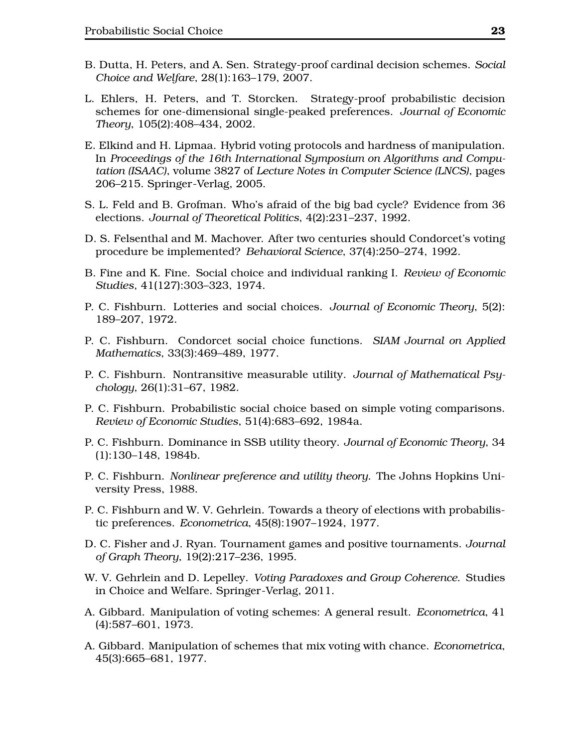- <span id="page-20-13"></span>B. Dutta, H. Peters, and A. Sen. Strategy-proof cardinal decision schemes. *Social Choice and Welfare*, 28(1):163–179, 2007.
- <span id="page-20-16"></span>L. Ehlers, H. Peters, and T. Storcken. Strategy-proof probabilistic decision schemes for one-dimensional single-peaked preferences. *Journal of Economic Theory*, 105(2):408–434, 2002.
- <span id="page-20-3"></span>E. Elkind and H. Lipmaa. Hybrid voting protocols and hardness of manipulation. In *Proceedings of the 16th International Symposium on Algorithms and Computation (ISAAC)*, volume 3827 of *Lecture Notes in Computer Science (LNCS)*, pages 206–215. Springer-Verlag, 2005.
- <span id="page-20-14"></span>S. L. Feld and B. Grofman. Who's afraid of the big bad cycle? Evidence from 36 elections. *Journal of Theoretical Politics*, 4(2):231–237, 1992.
- <span id="page-20-6"></span>D. S. Felsenthal and M. Machover. After two centuries should Condorcet's voting procedure be implemented? *Behavioral Science*, 37(4):250–274, 1992.
- <span id="page-20-9"></span>B. Fine and K. Fine. Social choice and individual ranking I. *Review of Economic Studies*, 41(127):303–323, 1974.
- <span id="page-20-0"></span>P. C. Fishburn. Lotteries and social choices. *Journal of Economic Theory*, 5(2): 189–207, 1972.
- <span id="page-20-8"></span>P. C. Fishburn. Condorcet social choice functions. *SIAM Journal on Applied Mathematics*, 33(3):469–489, 1977.
- <span id="page-20-12"></span>P. C. Fishburn. Nontransitive measurable utility. *Journal of Mathematical Psychology*, 26(1):31–67, 1982.
- <span id="page-20-4"></span>P. C. Fishburn. Probabilistic social choice based on simple voting comparisons. *Review of Economic Studies*, 51(4):683–692, 1984a.
- <span id="page-20-10"></span>P. C. Fishburn. Dominance in SSB utility theory. *Journal of Economic Theory*, 34 (1):130–148, 1984b.
- <span id="page-20-11"></span>P. C. Fishburn. *Nonlinear preference and utility theory*. The Johns Hopkins University Press, 1988.
- <span id="page-20-7"></span>P. C. Fishburn and W. V. Gehrlein. Towards a theory of elections with probabilistic preferences. *Econometrica*, 45(8):1907–1924, 1977.
- <span id="page-20-5"></span>D. C. Fisher and J. Ryan. Tournament games and positive tournaments. *Journal of Graph Theory*, 19(2):217–236, 1995.
- <span id="page-20-15"></span>W. V. Gehrlein and D. Lepelley. *Voting Paradoxes and Group Coherence*. Studies in Choice and Welfare. Springer-Verlag, 2011.
- <span id="page-20-2"></span>A. Gibbard. Manipulation of voting schemes: A general result. *Econometrica*, 41 (4):587–601, 1973.
- <span id="page-20-1"></span>A. Gibbard. Manipulation of schemes that mix voting with chance. *Econometrica*, 45(3):665–681, 1977.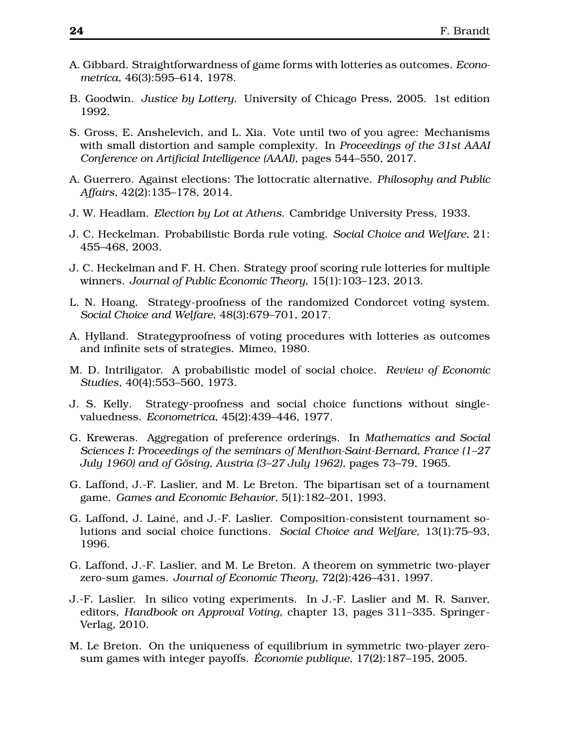- <span id="page-21-12"></span>A. Gibbard. Straightforwardness of game forms with lotteries as outcomes. *Econometrica*, 46(3):595–614, 1978.
- <span id="page-21-1"></span>B. Goodwin. *Justice by Lottery*. University of Chicago Press, 2005. 1st edition 1992.
- <span id="page-21-4"></span>S. Gross, E. Anshelevich, and L. Xia. Vote until two of you agree: Mechanisms with small distortion and sample complexity. In *Proceedings of the 31st AAAI Conference on Artificial Intelligence (AAAI)*, pages 544–550, 2017.
- <span id="page-21-2"></span>A. Guerrero. Against elections: The lottocratic alternative. *Philosophy and Public Affairs*, 42(2):135–178, 2014.
- <span id="page-21-0"></span>J. W. Headlam. *Election by Lot at Athens*. Cambridge University Press, 1933.
- <span id="page-21-14"></span>J. C. Heckelman. Probabilistic Borda rule voting. *Social Choice and Welfare*, 21: 455–468, 2003.
- <span id="page-21-15"></span>J. C. Heckelman and F. H. Chen. Strategy proof scoring rule lotteries for multiple winners. *Journal of Public Economic Theory*, 15(1):103–123, 2013.
- <span id="page-21-9"></span>L. N. Hoang. Strategy-proofness of the randomized Condorcet voting system. *Social Choice and Welfare*, 48(3):679–701, 2017.
- <span id="page-21-13"></span>A. Hylland. Strategyproofness of voting procedures with lotteries as outcomes and infinite sets of strategies. Mimeo, 1980.
- <span id="page-21-3"></span>M. D. Intriligator. A probabilistic model of social choice. *Review of Economic Studies*, 40(4):553–560, 1973.
- <span id="page-21-11"></span>J. S. Kelly. Strategy-proofness and social choice functions without singlevaluedness. *Econometrica*, 45(2):439–446, 1977.
- <span id="page-21-5"></span>G. Kreweras. Aggregation of preference orderings. In *Mathematics and Social Sciences I: Proceedings of the seminars of Menthon-Saint-Bernard, France (1–27 July 1960) and of Gösing, Austria (3–27 July 1962)*, pages 73–79, 1965.
- <span id="page-21-8"></span>G. Laffond, J.-F. Laslier, and M. Le Breton. The bipartisan set of a tournament game. *Games and Economic Behavior*, 5(1):182–201, 1993.
- <span id="page-21-10"></span>G. Laffond, J. Lainé, and J.-F. Laslier. Composition-consistent tournament solutions and social choice functions. *Social Choice and Welfare*, 13(1):75–93, 1996.
- <span id="page-21-6"></span>G. Laffond, J.-F. Laslier, and M. Le Breton. A theorem on symmetric two-player zero-sum games. *Journal of Economic Theory*, 72(2):426–431, 1997.
- <span id="page-21-16"></span>J.-F. Laslier. In silico voting experiments. In J.-F. Laslier and M. R. Sanver, editors, *Handbook on Approval Voting*, chapter 13, pages 311–335. Springer-Verlag, 2010.
- <span id="page-21-7"></span>M. Le Breton. On the uniqueness of equilibrium in symmetric two-player zerosum games with integer payoffs. *Économie publique*, 17(2):187–195, 2005.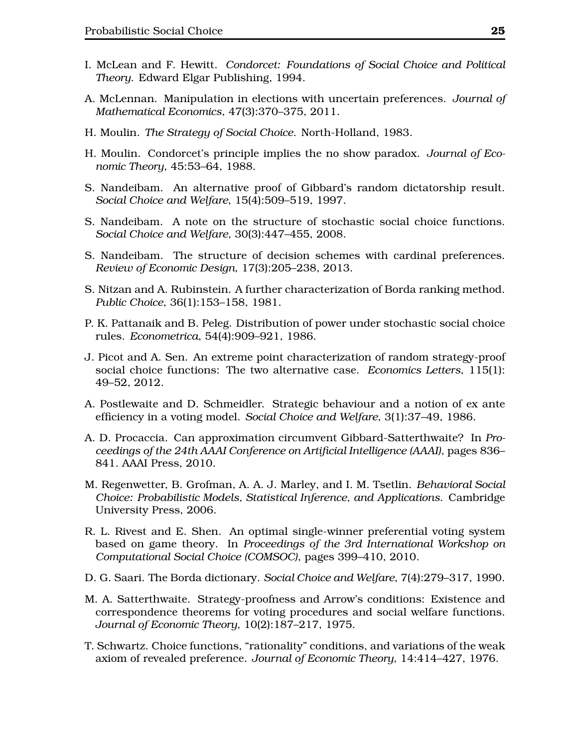- <span id="page-22-14"></span>I. McLean and F. Hewitt. *Condorcet: Foundations of Social Choice and Political Theory*. Edward Elgar Publishing, 1994.
- <span id="page-22-9"></span>A. McLennan. Manipulation in elections with uncertain preferences. *Journal of Mathematical Economics*, 47(3):370–375, 2011.
- <span id="page-22-0"></span>H. Moulin. *The Strategy of Social Choice*. North-Holland, 1983.
- <span id="page-22-6"></span>H. Moulin. Condorcet's principle implies the no show paradox. *Journal of Economic Theory*, 45:53–64, 1988.
- <span id="page-22-7"></span>S. Nandeibam. An alternative proof of Gibbard's random dictatorship result. *Social Choice and Welfare*, 15(4):509–519, 1997.
- <span id="page-22-8"></span>S. Nandeibam. A note on the structure of stochastic social choice functions. *Social Choice and Welfare*, 30(3):447–455, 2008.
- <span id="page-22-10"></span>S. Nandeibam. The structure of decision schemes with cardinal preferences. *Review of Economic Design*, 17(3):205–238, 2013.
- <span id="page-22-12"></span>S. Nitzan and A. Rubinstein. A further characterization of Borda ranking method. *Public Choice*, 36(1):153–158, 1981.
- <span id="page-22-15"></span>P. K. Pattanaik and B. Peleg. Distribution of power under stochastic social choice rules. *Econometrica*, 54(4):909–921, 1986.
- <span id="page-22-11"></span>J. Picot and A. Sen. An extreme point characterization of random strategy-proof social choice functions: The two alternative case. *Economics Letters*, 115(1): 49–52, 2012.
- <span id="page-22-5"></span>A. Postlewaite and D. Schmeidler. Strategic behaviour and a notion of ex ante efficiency in a voting model. *Social Choice and Welfare*, 3(1):37–49, 1986.
- <span id="page-22-2"></span>A. D. Procaccia. Can approximation circumvent Gibbard-Satterthwaite? In *Proceedings of the 24th AAAI Conference on Artificial Intelligence (AAAI)*, pages 836– 841. AAAI Press, 2010.
- <span id="page-22-16"></span>M. Regenwetter, B. Grofman, A. A. J. Marley, and I. M. Tsetlin. *Behavioral Social Choice: Probabilistic Models, Statistical Inference, and Applications*. Cambridge University Press, 2006.
- <span id="page-22-3"></span>R. L. Rivest and E. Shen. An optimal single-winner preferential voting system based on game theory. In *Proceedings of the 3rd International Workshop on Computational Social Choice (COMSOC)*, pages 399–410, 2010.
- <span id="page-22-13"></span>D. G. Saari. The Borda dictionary. *Social Choice and Welfare*, 7(4):279–317, 1990.
- <span id="page-22-1"></span>M. A. Satterthwaite. Strategy-proofness and Arrow's conditions: Existence and correspondence theorems for voting procedures and social welfare functions. *Journal of Economic Theory*, 10(2):187–217, 1975.
- <span id="page-22-4"></span>T. Schwartz. Choice functions, "rationality" conditions, and variations of the weak axiom of revealed preference. *Journal of Economic Theory*, 14:414–427, 1976.